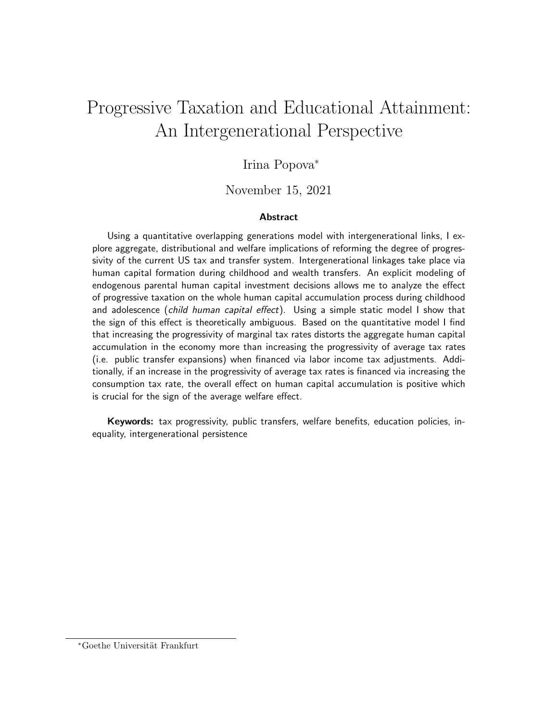# Progressive Taxation and Educational Attainment: An Intergenerational Perspective

## Irina Popova<sup>∗</sup>

#### November 15, 2021

#### **Abstract**

Using a quantitative overlapping generations model with intergenerational links, I explore aggregate, distributional and welfare implications of reforming the degree of progressivity of the current US tax and transfer system. Intergenerational linkages take place via human capital formation during childhood and wealth transfers. An explicit modeling of endogenous parental human capital investment decisions allows me to analyze the effect of progressive taxation on the whole human capital accumulation process during childhood and adolescence (child human capital effect). Using a simple static model I show that the sign of this effect is theoretically ambiguous. Based on the quantitative model I find that increasing the progressivity of marginal tax rates distorts the aggregate human capital accumulation in the economy more than increasing the progressivity of average tax rates (i.e. public transfer expansions) when financed via labor income tax adjustments. Additionally, if an increase in the progressivity of average tax rates is financed via increasing the consumption tax rate, the overall effect on human capital accumulation is positive which is crucial for the sign of the average welfare effect.

Keywords: tax progressivity, public transfers, welfare benefits, education policies, inequality, intergenerational persistence

\*Goethe Universität Frankfurt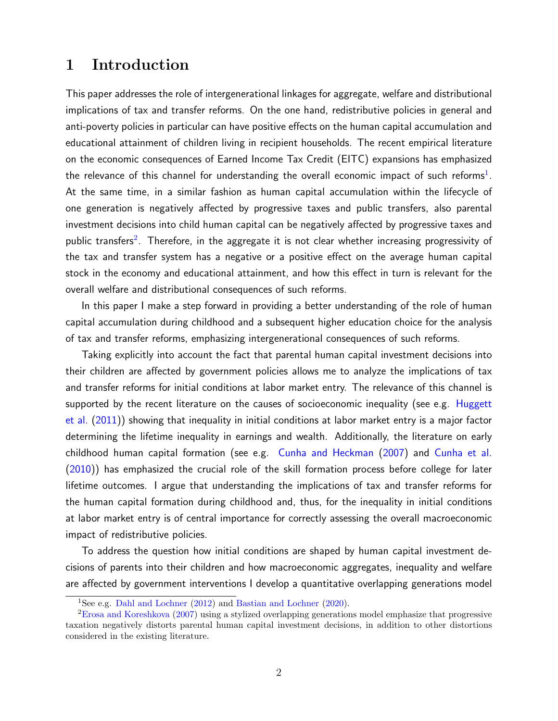## 1 Introduction

This paper addresses the role of intergenerational linkages for aggregate, welfare and distributional implications of tax and transfer reforms. On the one hand, redistributive policies in general and anti-poverty policies in particular can have positive effects on the human capital accumulation and educational attainment of children living in recipient households. The recent empirical literature on the economic consequences of Earned Income Tax Credit (EITC) expansions has emphasized the relevance of this channel for understanding the overall economic impact of such reforms $^1$  $^1$ . At the same time, in a similar fashion as human capital accumulation within the lifecycle of one generation is negatively affected by progressive taxes and public transfers, also parental investment decisions into child human capital can be negatively affected by progressive taxes and public transfers<sup>[2](#page-1-1)</sup>. Therefore, in the aggregate it is not clear whether increasing progressivity of the tax and transfer system has a negative or a positive effect on the average human capital stock in the economy and educational attainment, and how this effect in turn is relevant for the overall welfare and distributional consequences of such reforms.

In this paper I make a step forward in providing a better understanding of the role of human capital accumulation during childhood and a subsequent higher education choice for the analysis of tax and transfer reforms, emphasizing intergenerational consequences of such reforms.

Taking explicitly into account the fact that parental human capital investment decisions into their children are affected by government policies allows me to analyze the implications of tax and transfer reforms for initial conditions at labor market entry. The relevance of this channel is supported by the recent literature on the causes of socioeconomic inequality (see e.g. [Huggett](#page-43-0) [et al.](#page-43-0) [\(2011\)](#page-43-0)) showing that inequality in initial conditions at labor market entry is a major factor determining the lifetime inequality in earnings and wealth. Additionally, the literature on early childhood human capital formation (see e.g. [Cunha and Heckman](#page-42-0) [\(2007\)](#page-42-0) and [Cunha et al.](#page-43-1) [\(2010\)](#page-43-1)) has emphasized the crucial role of the skill formation process before college for later lifetime outcomes. I argue that understanding the implications of tax and transfer reforms for the human capital formation during childhood and, thus, for the inequality in initial conditions at labor market entry is of central importance for correctly assessing the overall macroeconomic impact of redistributive policies.

To address the question how initial conditions are shaped by human capital investment decisions of parents into their children and how macroeconomic aggregates, inequality and welfare are affected by government interventions I develop a quantitative overlapping generations model

<span id="page-1-1"></span><span id="page-1-0"></span><sup>1</sup>See e.g. [Dahl and Lochner](#page-43-2) [\(2012\)](#page-43-2) and [Bastian and Lochner](#page-42-1) [\(2020\)](#page-42-1).

<sup>2</sup>[Erosa and Koreshkova](#page-43-3) [\(2007\)](#page-43-3) using a stylized overlapping generations model emphasize that progressive taxation negatively distorts parental human capital investment decisions, in addition to other distortions considered in the existing literature.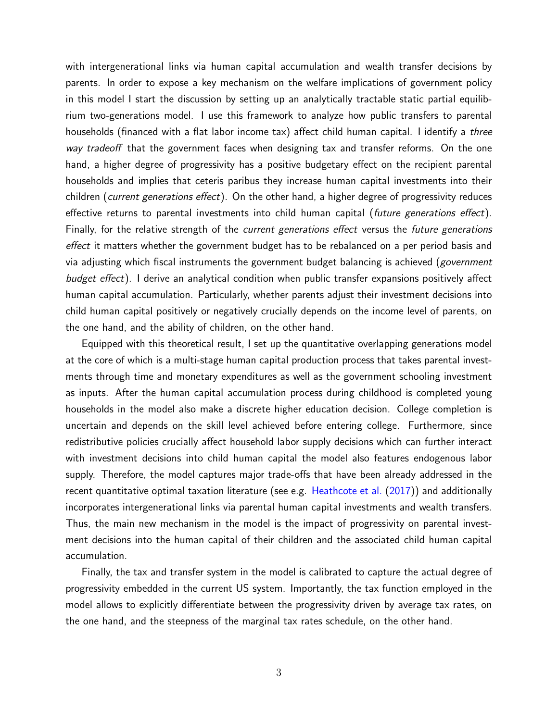with intergenerational links via human capital accumulation and wealth transfer decisions by parents. In order to expose a key mechanism on the welfare implications of government policy in this model I start the discussion by setting up an analytically tractable static partial equilibrium two-generations model. I use this framework to analyze how public transfers to parental households (financed with a flat labor income tax) affect child human capital. I identify a *three* way tradeoff that the government faces when designing tax and transfer reforms. On the one hand, a higher degree of progressivity has a positive budgetary effect on the recipient parental households and implies that ceteris paribus they increase human capital investments into their children (current generations effect). On the other hand, a higher degree of progressivity reduces effective returns to parental investments into child human capital (future generations effect). Finally, for the relative strength of the current generations effect versus the future generations effect it matters whether the government budget has to be rebalanced on a per period basis and via adjusting which fiscal instruments the government budget balancing is achieved (*government* budget effect). I derive an analytical condition when public transfer expansions positively affect human capital accumulation. Particularly, whether parents adjust their investment decisions into child human capital positively or negatively crucially depends on the income level of parents, on the one hand, and the ability of children, on the other hand.

Equipped with this theoretical result, I set up the quantitative overlapping generations model at the core of which is a multi-stage human capital production process that takes parental investments through time and monetary expenditures as well as the government schooling investment as inputs. After the human capital accumulation process during childhood is completed young households in the model also make a discrete higher education decision. College completion is uncertain and depends on the skill level achieved before entering college. Furthermore, since redistributive policies crucially affect household labor supply decisions which can further interact with investment decisions into child human capital the model also features endogenous labor supply. Therefore, the model captures major trade-offs that have been already addressed in the recent quantitative optimal taxation literature (see e.g. [Heathcote et al.](#page-43-4) [\(2017\)](#page-43-4)) and additionally incorporates intergenerational links via parental human capital investments and wealth transfers. Thus, the main new mechanism in the model is the impact of progressivity on parental investment decisions into the human capital of their children and the associated child human capital accumulation.

Finally, the tax and transfer system in the model is calibrated to capture the actual degree of progressivity embedded in the current US system. Importantly, the tax function employed in the model allows to explicitly differentiate between the progressivity driven by average tax rates, on the one hand, and the steepness of the marginal tax rates schedule, on the other hand.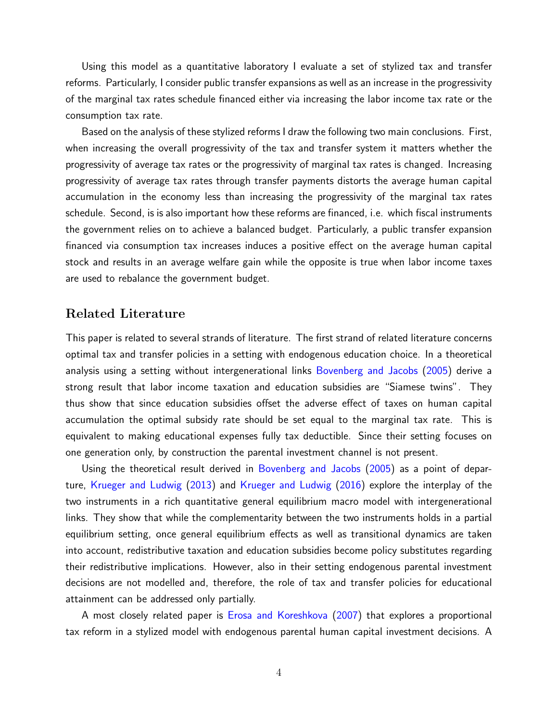Using this model as a quantitative laboratory I evaluate a set of stylized tax and transfer reforms. Particularly, I consider public transfer expansions as well as an increase in the progressivity of the marginal tax rates schedule financed either via increasing the labor income tax rate or the consumption tax rate.

Based on the analysis of these stylized reforms I draw the following two main conclusions. First, when increasing the overall progressivity of the tax and transfer system it matters whether the progressivity of average tax rates or the progressivity of marginal tax rates is changed. Increasing progressivity of average tax rates through transfer payments distorts the average human capital accumulation in the economy less than increasing the progressivity of the marginal tax rates schedule. Second, is is also important how these reforms are financed, i.e. which fiscal instruments the government relies on to achieve a balanced budget. Particularly, a public transfer expansion financed via consumption tax increases induces a positive effect on the average human capital stock and results in an average welfare gain while the opposite is true when labor income taxes are used to rebalance the government budget.

### Related Literature

This paper is related to several strands of literature. The first strand of related literature concerns optimal tax and transfer policies in a setting with endogenous education choice. In a theoretical analysis using a setting without intergenerational links [Bovenberg and Jacobs](#page-42-2) [\(2005\)](#page-42-2) derive a strong result that labor income taxation and education subsidies are "Siamese twins". They thus show that since education subsidies offset the adverse effect of taxes on human capital accumulation the optimal subsidy rate should be set equal to the marginal tax rate. This is equivalent to making educational expenses fully tax deductible. Since their setting focuses on one generation only, by construction the parental investment channel is not present.

Using the theoretical result derived in [Bovenberg and Jacobs](#page-42-2) [\(2005\)](#page-42-2) as a point of departure, [Krueger and Ludwig](#page-44-0) [\(2013\)](#page-44-0) and [Krueger and Ludwig](#page-44-1) [\(2016\)](#page-44-1) explore the interplay of the two instruments in a rich quantitative general equilibrium macro model with intergenerational links. They show that while the complementarity between the two instruments holds in a partial equilibrium setting, once general equilibrium effects as well as transitional dynamics are taken into account, redistributive taxation and education subsidies become policy substitutes regarding their redistributive implications. However, also in their setting endogenous parental investment decisions are not modelled and, therefore, the role of tax and transfer policies for educational attainment can be addressed only partially.

A most closely related paper is [Erosa and Koreshkova](#page-43-3) [\(2007\)](#page-43-3) that explores a proportional tax reform in a stylized model with endogenous parental human capital investment decisions. A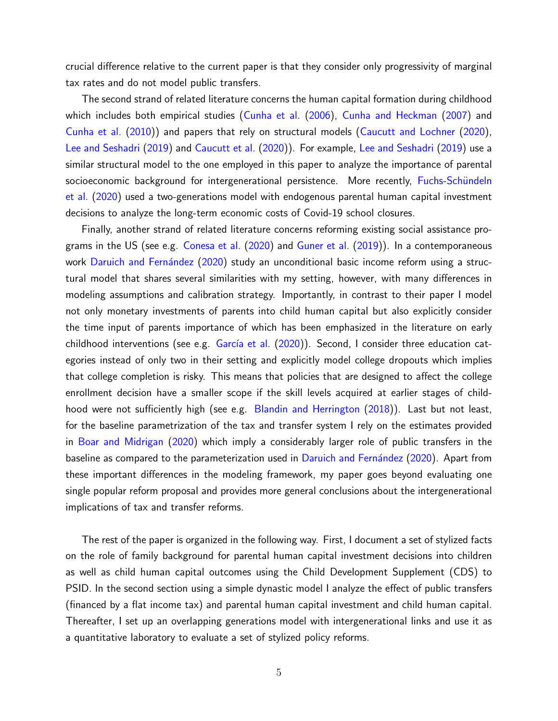crucial difference relative to the current paper is that they consider only progressivity of marginal tax rates and do not model public transfers.

The second strand of related literature concerns the human capital formation during childhood which includes both empirical studies [\(Cunha et al.](#page-42-3) [\(2006\)](#page-42-3), [Cunha and Heckman](#page-42-0) [\(2007\)](#page-42-0) and [Cunha et al.](#page-43-1) [\(2010\)](#page-43-1)) and papers that rely on structural models [\(Caucutt and Lochner](#page-42-4) [\(2020\)](#page-42-4), [Lee and Seshadri](#page-44-2) [\(2019\)](#page-44-2) and [Caucutt et al.](#page-42-5) [\(2020\)](#page-42-5)). For example, [Lee and Seshadri](#page-44-2) [\(2019\)](#page-44-2) use a similar structural model to the one employed in this paper to analyze the importance of parental socioeconomic background for intergenerational persistence. More recently, Fuchs-Schündeln [et al.](#page-43-5) [\(2020\)](#page-43-5) used a two-generations model with endogenous parental human capital investment decisions to analyze the long-term economic costs of Covid-19 school closures.

Finally, another strand of related literature concerns reforming existing social assistance programs in the US (see e.g. [Conesa et al.](#page-42-6) [\(2020\)](#page-42-6) and [Guner et al.](#page-43-6) [\(2019\)](#page-43-6)). In a contemporaneous work Daruich and Fernández [\(2020\)](#page-43-7) study an unconditional basic income reform using a structural model that shares several similarities with my setting, however, with many differences in modeling assumptions and calibration strategy. Importantly, in contrast to their paper I model not only monetary investments of parents into child human capital but also explicitly consider the time input of parents importance of which has been emphasized in the literature on early childhood interventions (see e.g. García et al. [\(2020\)](#page-43-8)). Second, I consider three education categories instead of only two in their setting and explicitly model college dropouts which implies that college completion is risky. This means that policies that are designed to affect the college enrollment decision have a smaller scope if the skill levels acquired at earlier stages of childhood were not sufficiently high (see e.g. [Blandin and Herrington](#page-42-7) [\(2018\)](#page-42-7)). Last but not least, for the baseline parametrization of the tax and transfer system I rely on the estimates provided in [Boar and Midrigan](#page-42-8) [\(2020\)](#page-42-8) which imply a considerably larger role of public transfers in the baseline as compared to the parameterization used in Daruich and Fernández [\(2020\)](#page-43-7). Apart from these important differences in the modeling framework, my paper goes beyond evaluating one single popular reform proposal and provides more general conclusions about the intergenerational implications of tax and transfer reforms.

The rest of the paper is organized in the following way. First, I document a set of stylized facts on the role of family background for parental human capital investment decisions into children as well as child human capital outcomes using the Child Development Supplement (CDS) to PSID. In the second section using a simple dynastic model I analyze the effect of public transfers (financed by a flat income tax) and parental human capital investment and child human capital. Thereafter, I set up an overlapping generations model with intergenerational links and use it as a quantitative laboratory to evaluate a set of stylized policy reforms.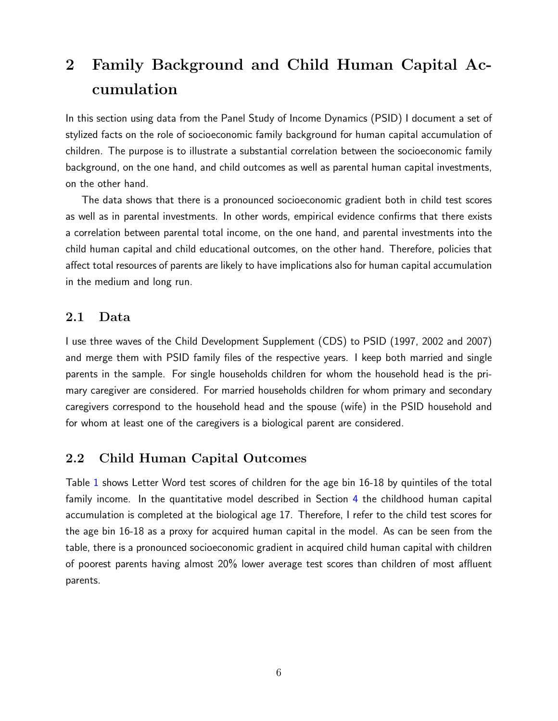# 2 Family Background and Child Human Capital Accumulation

In this section using data from the Panel Study of Income Dynamics (PSID) I document a set of stylized facts on the role of socioeconomic family background for human capital accumulation of children. The purpose is to illustrate a substantial correlation between the socioeconomic family background, on the one hand, and child outcomes as well as parental human capital investments, on the other hand.

The data shows that there is a pronounced socioeconomic gradient both in child test scores as well as in parental investments. In other words, empirical evidence confirms that there exists a correlation between parental total income, on the one hand, and parental investments into the child human capital and child educational outcomes, on the other hand. Therefore, policies that affect total resources of parents are likely to have implications also for human capital accumulation in the medium and long run.

## 2.1 Data

I use three waves of the Child Development Supplement (CDS) to PSID (1997, 2002 and 2007) and merge them with PSID family files of the respective years. I keep both married and single parents in the sample. For single households children for whom the household head is the primary caregiver are considered. For married households children for whom primary and secondary caregivers correspond to the household head and the spouse (wife) in the PSID household and for whom at least one of the caregivers is a biological parent are considered.

## 2.2 Child Human Capital Outcomes

Table [1](#page-6-0) shows Letter Word test scores of children for the age bin 16-18 by quintiles of the total family income. In the quantitative model described in Section [4](#page-13-0) the childhood human capital accumulation is completed at the biological age 17. Therefore, I refer to the child test scores for the age bin 16-18 as a proxy for acquired human capital in the model. As can be seen from the table, there is a pronounced socioeconomic gradient in acquired child human capital with children of poorest parents having almost 20% lower average test scores than children of most affluent parents.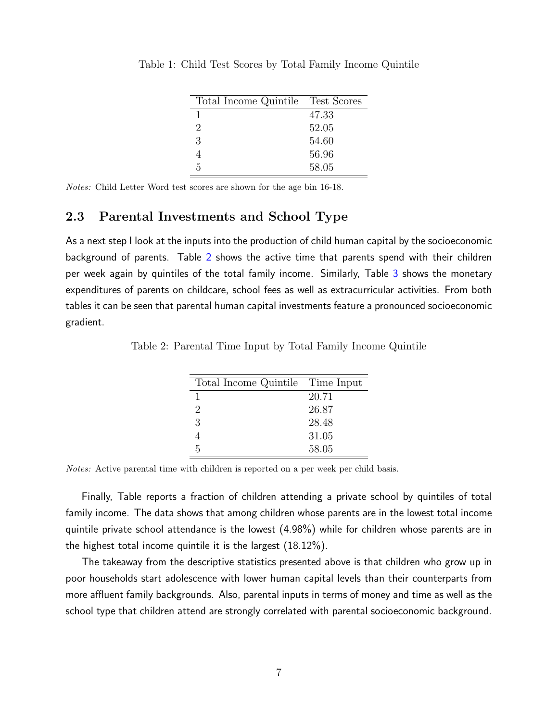| Total Income Quintile Test Scores |       |
|-----------------------------------|-------|
| 1                                 | 47.33 |
| $\mathcal{D}_{\mathcal{L}}$       | 52.05 |
| 3                                 | 54.60 |
|                                   | 56.96 |
| ħ.                                | 58.05 |

<span id="page-6-0"></span>Table 1: Child Test Scores by Total Family Income Quintile

Notes: Child Letter Word test scores are shown for the age bin 16-18.

## 2.3 Parental Investments and School Type

As a next step I look at the inputs into the production of child human capital by the socioeconomic background of parents. Table [2](#page-6-1) shows the active time that parents spend with their children per week again by quintiles of the total family income. Similarly, Table [3](#page-7-0) shows the monetary expenditures of parents on childcare, school fees as well as extracurricular activities. From both tables it can be seen that parental human capital investments feature a pronounced socioeconomic gradient.

<span id="page-6-1"></span>Table 2: Parental Time Input by Total Family Income Quintile

| Total Income Quintile Time Input |       |
|----------------------------------|-------|
|                                  | 20.71 |
| 2                                | 26.87 |
| 3                                | 28.48 |
|                                  | 31.05 |
| 5                                | 58.05 |

Notes: Active parental time with children is reported on a per week per child basis.

Finally, Table reports a fraction of children attending a private school by quintiles of total family income. The data shows that among children whose parents are in the lowest total income quintile private school attendance is the lowest (4.98%) while for children whose parents are in the highest total income quintile it is the largest (18.12%).

The takeaway from the descriptive statistics presented above is that children who grow up in poor households start adolescence with lower human capital levels than their counterparts from more affluent family backgrounds. Also, parental inputs in terms of money and time as well as the school type that children attend are strongly correlated with parental socioeconomic background.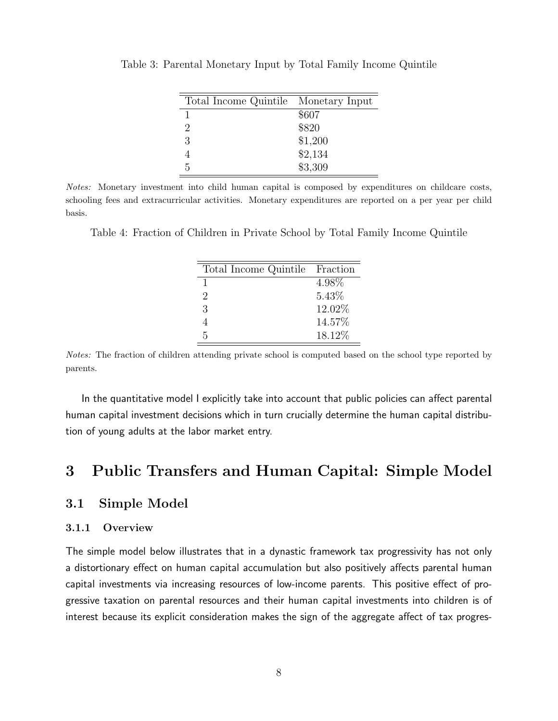| Total Income Quintile Monetary Input |         |
|--------------------------------------|---------|
|                                      | \$607   |
| 2                                    | \$820   |
| 3                                    | \$1,200 |
|                                      | \$2,134 |
| 5                                    | \$3,309 |

<span id="page-7-0"></span>Table 3: Parental Monetary Input by Total Family Income Quintile

Notes: Monetary investment into child human capital is composed by expenditures on childcare costs, schooling fees and extracurricular activities. Monetary expenditures are reported on a per year per child basis.

Table 4: Fraction of Children in Private School by Total Family Income Quintile

| Total Income Quintile Fraction |        |
|--------------------------------|--------|
|                                | 4.98%  |
| 2                              | 5.43%  |
| 3                              | 12.02% |
| 4                              | 14.57% |
| 5                              | 18.12% |

Notes: The fraction of children attending private school is computed based on the school type reported by parents.

In the quantitative model I explicitly take into account that public policies can affect parental human capital investment decisions which in turn crucially determine the human capital distribution of young adults at the labor market entry.

## <span id="page-7-1"></span>3 Public Transfers and Human Capital: Simple Model

### 3.1 Simple Model

#### 3.1.1 Overview

The simple model below illustrates that in a dynastic framework tax progressivity has not only a distortionary effect on human capital accumulation but also positively affects parental human capital investments via increasing resources of low-income parents. This positive effect of progressive taxation on parental resources and their human capital investments into children is of interest because its explicit consideration makes the sign of the aggregate affect of tax progres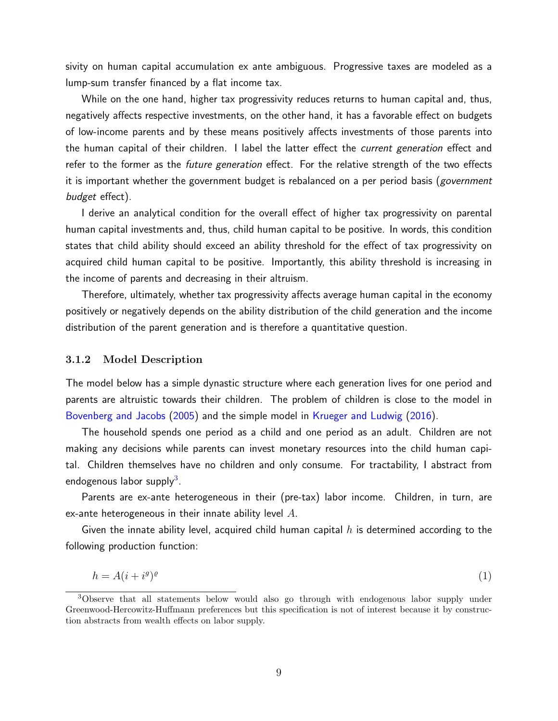sivity on human capital accumulation ex ante ambiguous. Progressive taxes are modeled as a lump-sum transfer financed by a flat income tax.

While on the one hand, higher tax progressivity reduces returns to human capital and, thus, negatively affects respective investments, on the other hand, it has a favorable effect on budgets of low-income parents and by these means positively affects investments of those parents into the human capital of their children. I label the latter effect the *current generation* effect and refer to the former as the future generation effect. For the relative strength of the two effects it is important whether the government budget is rebalanced on a per period basis (government budget effect).

I derive an analytical condition for the overall effect of higher tax progressivity on parental human capital investments and, thus, child human capital to be positive. In words, this condition states that child ability should exceed an ability threshold for the effect of tax progressivity on acquired child human capital to be positive. Importantly, this ability threshold is increasing in the income of parents and decreasing in their altruism.

Therefore, ultimately, whether tax progressivity affects average human capital in the economy positively or negatively depends on the ability distribution of the child generation and the income distribution of the parent generation and is therefore a quantitative question.

#### 3.1.2 Model Description

The model below has a simple dynastic structure where each generation lives for one period and parents are altruistic towards their children. The problem of children is close to the model in [Bovenberg and Jacobs](#page-42-2) [\(2005\)](#page-42-2) and the simple model in [Krueger and Ludwig](#page-44-1) [\(2016\)](#page-44-1).

The household spends one period as a child and one period as an adult. Children are not making any decisions while parents can invest monetary resources into the child human capital. Children themselves have no children and only consume. For tractability, I abstract from endogenous labor supply<sup>[3](#page-8-0)</sup>.

Parents are ex-ante heterogeneous in their (pre-tax) labor income. Children, in turn, are ex-ante heterogeneous in their innate ability level  $A$ .

Given the innate ability level, acquired child human capital  $h$  is determined according to the following production function:

$$
h = A(i + i^g)^g \tag{1}
$$

<span id="page-8-0"></span><sup>3</sup>Observe that all statements below would also go through with endogenous labor supply under Greenwood-Hercowitz-Huffmann preferences but this specification is not of interest because it by construction abstracts from wealth effects on labor supply.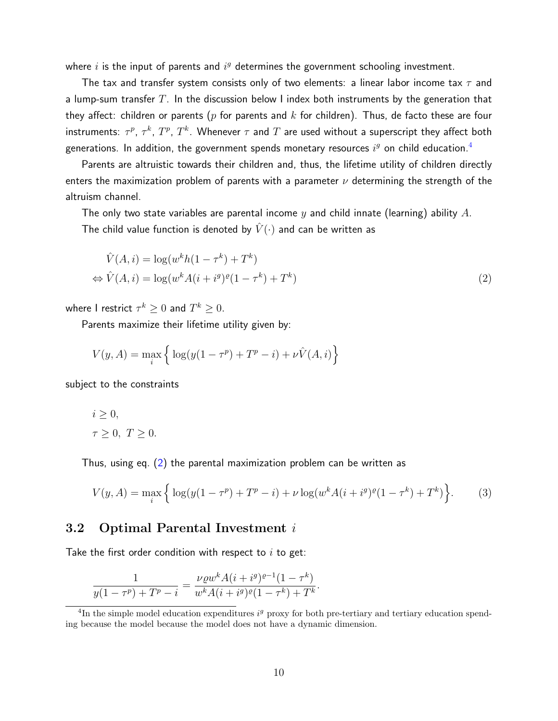where  $i$  is the input of parents and  $i^g$  determines the government schooling investment.

The tax and transfer system consists only of two elements: a linear labor income tax  $\tau$  and a lump-sum transfer  $T$ . In the discussion below I index both instruments by the generation that they affect: children or parents ( $p$  for parents and  $k$  for children). Thus, de facto these are four instruments:  $\tau^p$ ,  $\tau^k$ ,  $T^p$ ,  $T^k$ . Whenever  $\tau$  and  $T$  are used without a superscript they affect both generations. In addition, the government spends monetary resources  $i^g$  on child education. $^4$  $^4$ 

Parents are altruistic towards their children and, thus, the lifetime utility of children directly enters the maximization problem of parents with a parameter  $\nu$  determining the strength of the altruism channel.

The only two state variables are parental income y and child innate (learning) ability A. The child value function is denoted by  $\hat{V}(\cdot)$  and can be written as

<span id="page-9-1"></span>
$$
\hat{V}(A,i) = \log(w^k h(1 - \tau^k) + T^k)
$$
  
\n
$$
\Leftrightarrow \hat{V}(A,i) = \log(w^k A(i + i^g)^{\varrho}(1 - \tau^k) + T^k)
$$
\n(2)

where  ${\sf I}$  restrict  $\tau^k\geq 0$  and  $T^k\geq 0.$ 

Parents maximize their lifetime utility given by:

$$
V(y, A) = \max_{i} \left\{ \log(y(1 - \tau^{p}) + T^{p} - i) + \nu \hat{V}(A, i) \right\}
$$

subject to the constraints

$$
i \geq 0,
$$
  

$$
\tau \geq 0, T \geq 0.
$$

Thus, using eq. [\(2\)](#page-9-1) the parental maximization problem can be written as

<span id="page-9-2"></span>
$$
V(y, A) = \max_{i} \left\{ \log(y(1 - \tau^{p}) + T^{p} - i) + \nu \log(w^{k} A(i + i^{q})^{\rho} (1 - \tau^{k}) + T^{k}) \right\}.
$$
 (3)

### 3.2 Optimal Parental Investment i

Take the first order condition with respect to  $i$  to get:

$$
\frac{1}{y(1-\tau^p) + T^p - i} = \frac{\nu \varrho w^k A(i + i^g)^{\varrho - 1} (1 - \tau^k)}{w^k A(i + i^g)^{\varrho} (1 - \tau^k) + T^k}.
$$

<span id="page-9-0"></span><sup>&</sup>lt;sup>4</sup>In the simple model education expenditures  $i<sup>g</sup>$  proxy for both pre-tertiary and tertiary education spending because the model because the model does not have a dynamic dimension.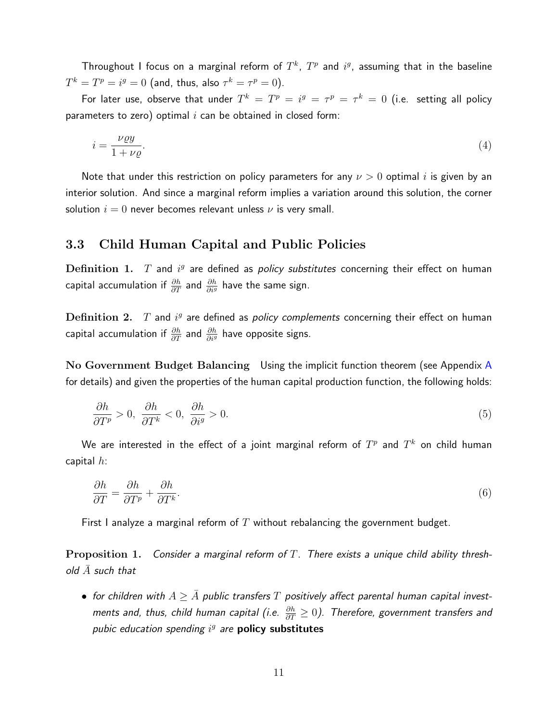Throughout I focus on a marginal reform of  $T^k$ ,  $T^p$  and  $i^g$ , assuming that in the baseline  $T^k=T^p=i^g=0$  (and, thus, also  $\tau^k=\tau^p=0).$ 

For later use, observe that under  $T^k = T^p = i^g = \tau^p = \tau^k = 0$  (i.e. setting all policy parameters to zero) optimal  $i$  can be obtained in closed form:

$$
i = \frac{\nu \varrho y}{1 + \nu \varrho}.\tag{4}
$$

Note that under this restriction on policy parameters for any  $\nu > 0$  optimal i is given by an interior solution. And since a marginal reform implies a variation around this solution, the corner solution  $i = 0$  never becomes relevant unless  $\nu$  is very small.

### 3.3 Child Human Capital and Public Policies

Definition 1.  $T$  and  $i^g$  are defined as policy substitutes concerning their effect on human capital accumulation if  $\frac{\partial h}{\partial T}$  and  $\frac{\partial h}{\partial i^g}$  have the same sign.

Definition 2.  $T$  and  $i^g$  are defined as policy complements concerning their effect on human capital accumulation if  $\frac{\partial h}{\partial T}$  and  $\frac{\partial h}{\partial i^g}$  have opposite signs.

No Government Budget Balancing Using the implicit function theorem (see Appendix [A](#page-45-0) for details) and given the properties of the human capital production function, the following holds:

$$
\frac{\partial h}{\partial T^p} > 0, \quad \frac{\partial h}{\partial T^k} < 0, \quad \frac{\partial h}{\partial i^g} > 0.
$$
\n<sup>(5)</sup>

We are interested in the effect of a joint marginal reform of  $T^p$  and  $T^k$  on child human capital  $h$ :

$$
\frac{\partial h}{\partial T} = \frac{\partial h}{\partial T^p} + \frac{\partial h}{\partial T^k}.\tag{6}
$$

First I analyze a marginal reform of T without rebalancing the government budget.

**Proposition 1.** Consider a marginal reform of T. There exists a unique child ability threshold  $\bar{A}$  such that

• for children with  $A > \bar{A}$  public transfers T positively affect parental human capital investments and, thus, child human capital (i.e.  $\frac{\partial h}{\partial T}\geq 0$ ). Therefore, government transfers and pubic education spending  $i^g$  are **policy substitutes**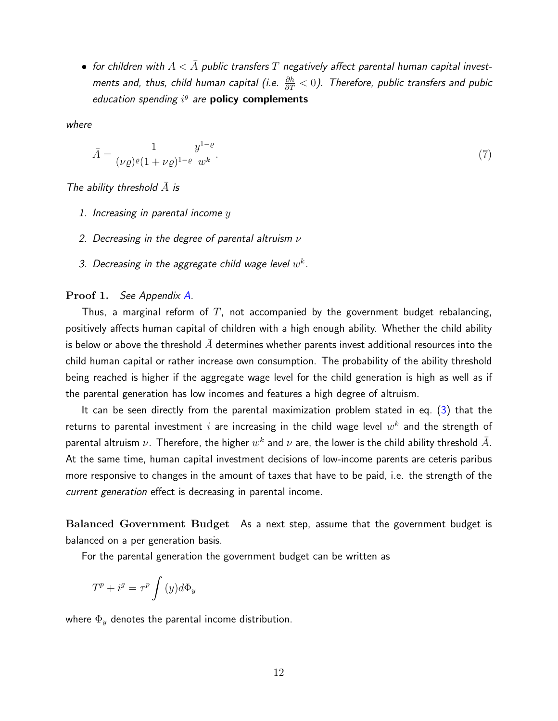• for children with  $A < \bar{A}$  public transfers T negatively affect parental human capital investments and, thus, child human capital (i.e.  $\frac{\partial h}{\partial T} < 0$ ). Therefore, public transfers and pubic education spending  $i^g$  are policy complements

where

$$
\bar{A} = \frac{1}{(\nu \varrho)^{\varrho} (1 + \nu \varrho)^{1 - \varrho}} \frac{y^{1 - \varrho}}{w^k}.
$$
\n(7)

The ability threshold  $\bar{A}$  is

- 1. Increasing in parental income  $y$
- 2. Decreasing in the degree of parental altruism  $\nu$
- 3. Decreasing in the aggregate child wage level  $w^k$ .

#### Proof 1. See Appendix [A.](#page-45-0)

Thus, a marginal reform of  $T$ , not accompanied by the government budget rebalancing, positively affects human capital of children with a high enough ability. Whether the child ability is below or above the threshold  $\overline{A}$  determines whether parents invest additional resources into the child human capital or rather increase own consumption. The probability of the ability threshold being reached is higher if the aggregate wage level for the child generation is high as well as if the parental generation has low incomes and features a high degree of altruism.

It can be seen directly from the parental maximization problem stated in eq. [\(3\)](#page-9-2) that the returns to parental investment  $i$  are increasing in the child wage level  $w^k$  and the strength of parental altruism  $\nu$ . Therefore, the higher  $w^k$  and  $\nu$  are, the lower is the child ability threshold  $\bar{A}$ . At the same time, human capital investment decisions of low-income parents are ceteris paribus more responsive to changes in the amount of taxes that have to be paid, i.e. the strength of the current generation effect is decreasing in parental income.

Balanced Government Budget As a next step, assume that the government budget is balanced on a per generation basis.

For the parental generation the government budget can be written as

$$
T^{p} + i^{g} = \tau^{p} \int (y) d\Phi_{y}
$$

where  $\Phi_y$  denotes the parental income distribution.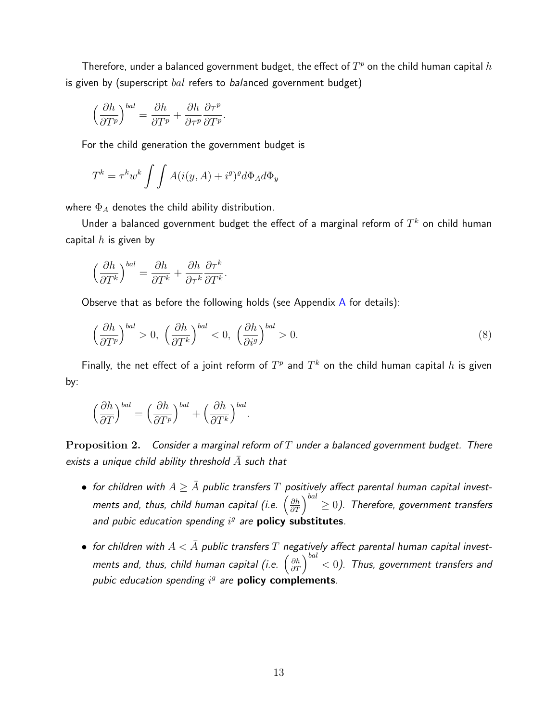Therefore, under a balanced government budget, the effect of  $T^p$  on the child human capital  $h$ is given by (superscript  $bal$  refers to balanced government budget)

$$
\left(\frac{\partial h}{\partial T^p}\right)^{bal} = \frac{\partial h}{\partial T^p} + \frac{\partial h}{\partial \tau^p} \frac{\partial \tau^p}{\partial T^p}.
$$

For the child generation the government budget is

$$
T^{k} = \tau^{k} w^{k} \int \int A(i(y, A) + i^{g})^{g} d\Phi_{A} d\Phi_{y}
$$

where  $\Phi_A$  denotes the child ability distribution.

Under a balanced government budget the effect of a marginal reform of  $T^k$  on child human capital  $h$  is given by

$$
\left(\frac{\partial h}{\partial T^k}\right)^{bal} = \frac{\partial h}{\partial T^k} + \frac{\partial h}{\partial \tau^k} \frac{\partial \tau^k}{\partial T^k}.
$$

Observe that as before the following holds (see [A](#page-45-0)ppendix  $\overline{A}$  for details):

$$
\left(\frac{\partial h}{\partial T^p}\right)^{bal} > 0, \ \left(\frac{\partial h}{\partial T^k}\right)^{bal} < 0, \ \left(\frac{\partial h}{\partial i^g}\right)^{bal} > 0.
$$
\n(8)

Finally, the net effect of a joint reform of  $T^p$  and  $T^k$  on the child human capital  $h$  is given by:

$$
\left(\frac{\partial h}{\partial T}\right)^{bal} = \left(\frac{\partial h}{\partial T^p}\right)^{bal} + \left(\frac{\partial h}{\partial T^k}\right)^{bal}.
$$

Proposition 2. Consider a marginal reform of  $T$  under a balanced government budget. There exists a unique child ability threshold  $\bar{A}$  such that

- for children with  $A \geq \bar{A}$  public transfers  $T$  positively affect parental human capital investments and, thus, child human capital (i.e.  $\left(\frac{\partial h}{\partial T}\right)^{bal} \geq 0$ ). Therefore, government transfers and pubic education spending  $i^g$  are **policy substitutes**.
- for children with  $A < \overline{A}$  public transfers T negatively affect parental human capital investments and, thus, child human capital (i.e.  $\left(\frac{\partial h}{\partial T}\right)^{bal} < 0$ ). Thus, government transfers and pubic education spending  $i^g$  are **policy complements**.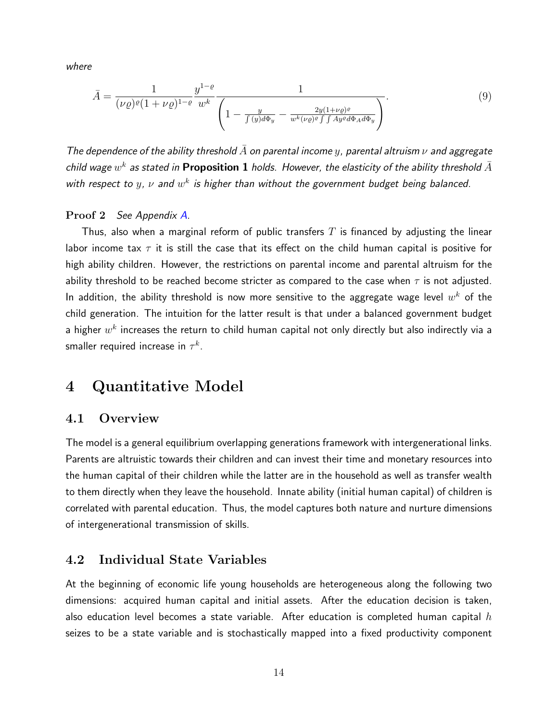where

$$
\bar{A} = \frac{1}{(\nu \varrho)^{\varrho} (1 + \nu \varrho)^{1-\varrho}} \frac{y^{1-\varrho}}{w^k} \frac{1}{\left(1 - \frac{y}{\int (y) d\Phi_y} - \frac{2y(1+\nu \varrho)^{\varrho}}{w^k(\nu \varrho)^{\varrho} \int \int A y^{\varrho} d\Phi_A d\Phi_y}\right)}.
$$
\n(9)

The dependence of the ability threshold  $\bar{A}$  on parental income  $y$ , parental altruism  $\nu$  and aggregate child wage  $w^k$  as stated in <code>Proposition 1</code> holds. However, the elasticity of the ability threshold  $\bar{A}$ with respect to  $y$ ,  $\nu$  and  $w^k$  is higher than without the government budget being balanced.

#### Proof 2 See Appendix [A.](#page-45-0)

Thus, also when a marginal reform of public transfers  $T$  is financed by adjusting the linear labor income tax  $\tau$  it is still the case that its effect on the child human capital is positive for high ability children. However, the restrictions on parental income and parental altruism for the ability threshold to be reached become stricter as compared to the case when  $\tau$  is not adjusted. In addition, the ability threshold is now more sensitive to the aggregate wage level  $w^k$  of the child generation. The intuition for the latter result is that under a balanced government budget a higher  $w^k$  increases the return to child human capital not only directly but also indirectly via a smaller required increase in  $\tau^k.$ 

## <span id="page-13-0"></span>4 Quantitative Model

### 4.1 Overview

The model is a general equilibrium overlapping generations framework with intergenerational links. Parents are altruistic towards their children and can invest their time and monetary resources into the human capital of their children while the latter are in the household as well as transfer wealth to them directly when they leave the household. Innate ability (initial human capital) of children is correlated with parental education. Thus, the model captures both nature and nurture dimensions of intergenerational transmission of skills.

## 4.2 Individual State Variables

At the beginning of economic life young households are heterogeneous along the following two dimensions: acquired human capital and initial assets. After the education decision is taken, also education level becomes a state variable. After education is completed human capital  $h$ seizes to be a state variable and is stochastically mapped into a fixed productivity component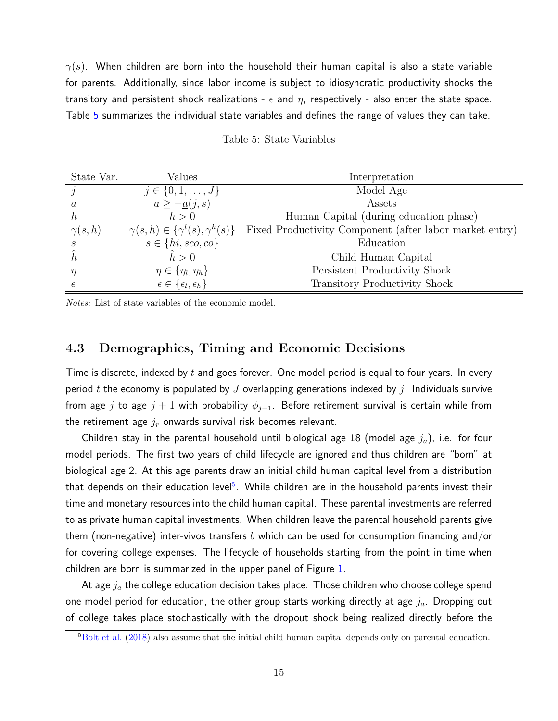$\gamma(s)$ . When children are born into the household their human capital is also a state variable for parents. Additionally, since labor income is subject to idiosyncratic productivity shocks the transitory and persistent shock realizations -  $\epsilon$  and  $\eta$ , respectively - also enter the state space. Table [5](#page-14-0) summarizes the individual state variables and defines the range of values they can take.

<span id="page-14-0"></span>

| State Var.    | Values                                         | Interpretation                                          |
|---------------|------------------------------------------------|---------------------------------------------------------|
|               | $j \in \{0, 1, \ldots, J\}$                    | Model Age                                               |
| a             | $a \geq -\underline{a}(j,s)$                   | Assets                                                  |
| $\hbar$       | h>0                                            | Human Capital (during education phase)                  |
| $\gamma(s,h)$ | $\gamma(s,h) \in \{\gamma^l(s),\gamma^h(s)\}\$ | Fixed Productivity Component (after labor market entry) |
| S             | $s \in \{hi, sco, co\}$                        | Education                                               |
|               | $\hat{h} > 0$                                  | Child Human Capital                                     |
| η             | $\eta \in \{\eta_l, \eta_h\}$                  | Persistent Productivity Shock                           |
|               | $\epsilon \in \{\epsilon_l, \epsilon_h\}$      | <b>Transitory Productivity Shock</b>                    |

|  |  | Table 5: State Variables |
|--|--|--------------------------|
|--|--|--------------------------|

Notes: List of state variables of the economic model.

### 4.3 Demographics, Timing and Economic Decisions

Time is discrete, indexed by  $t$  and goes forever. One model period is equal to four years. In every period t the economy is populated by  $J$  overlapping generations indexed by  $j$ . Individuals survive from age j to age  $j + 1$  with probability  $\phi_{j+1}$ . Before retirement survival is certain while from the retirement age  $j_r$  onwards survival risk becomes relevant.

Children stay in the parental household until biological age  $18$  (model age  $j_a$ ), i.e. for four model periods. The first two years of child lifecycle are ignored and thus children are "born" at biological age 2. At this age parents draw an initial child human capital level from a distribution that depends on their education level<sup>[5](#page-14-1)</sup>. While children are in the household parents invest their time and monetary resources into the child human capital. These parental investments are referred to as private human capital investments. When children leave the parental household parents give them (non-negative) inter-vivos transfers b which can be used for consumption financing and/or for covering college expenses. The lifecycle of households starting from the point in time when children are born is summarized in the upper panel of Figure [1.](#page-15-0)

At age  $j_a$  the college education decision takes place. Those children who choose college spend one model period for education, the other group starts working directly at age  $j_a$ . Dropping out of college takes place stochastically with the dropout shock being realized directly before the

<span id="page-14-1"></span><sup>5</sup>[Bolt et al.](#page-42-9) [\(2018\)](#page-42-9) also assume that the initial child human capital depends only on parental education.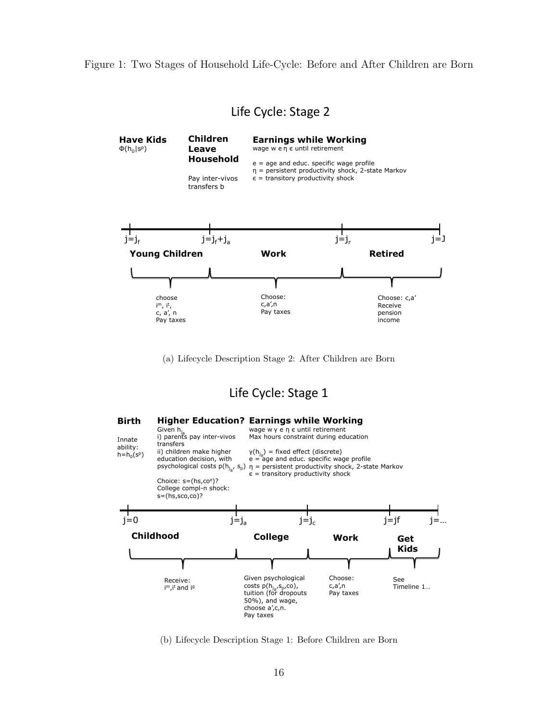<span id="page-15-0"></span>Figure 1: Two Stages of Household Life-Cycle: Before and After Children are Born

## Life Cycle: Stage 2



(a) Lifecycle Description Stage 2: After Children are Born

## Life Cycle: Stage 1



(b) Lifecycle Description Stage 1: Before Children are Born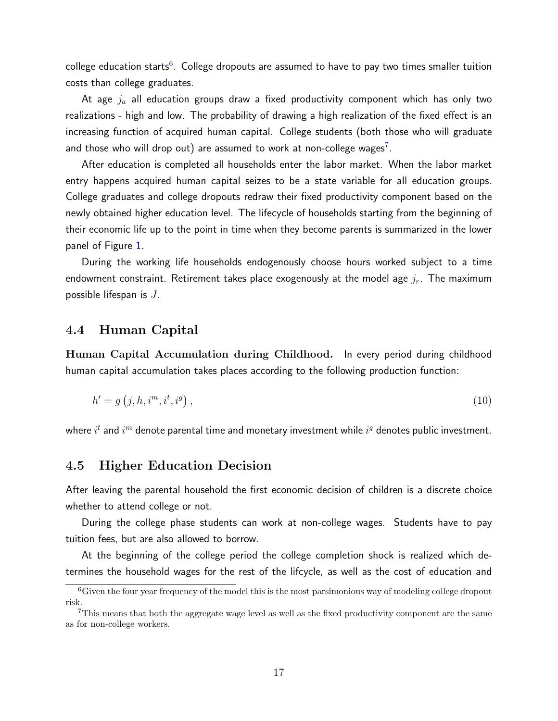college education starts $^6$  $^6$ . College dropouts are assumed to have to pay two times smaller tuition costs than college graduates.

At age  $j_a$  all education groups draw a fixed productivity component which has only two realizations - high and low. The probability of drawing a high realization of the fixed effect is an increasing function of acquired human capital. College students (both those who will graduate and those who will drop out) are assumed to work at non-college wages<sup>[7](#page-16-1)</sup>.

After education is completed all households enter the labor market. When the labor market entry happens acquired human capital seizes to be a state variable for all education groups. College graduates and college dropouts redraw their fixed productivity component based on the newly obtained higher education level. The lifecycle of households starting from the beginning of their economic life up to the point in time when they become parents is summarized in the lower panel of Figure [1.](#page-15-0)

During the working life households endogenously choose hours worked subject to a time endowment constraint. Retirement takes place exogenously at the model age  $j_r$ . The maximum possible lifespan is  $J$ .

### 4.4 Human Capital

Human Capital Accumulation during Childhood. In every period during childhood human capital accumulation takes places according to the following production function:

$$
h' = g(j, h, i^m, i^t, i^g), \tag{10}
$$

where  $i^t$  and  $i^m$  denote parental time and monetary investment while  $i^g$  denotes public investment.

#### 4.5 Higher Education Decision

After leaving the parental household the first economic decision of children is a discrete choice whether to attend college or not.

During the college phase students can work at non-college wages. Students have to pay tuition fees, but are also allowed to borrow.

At the beginning of the college period the college completion shock is realized which determines the household wages for the rest of the lifcycle, as well as the cost of education and

<span id="page-16-0"></span> ${}^{6}$ Given the four year frequency of the model this is the most parsimonious way of modeling college dropout risk.

<span id="page-16-1"></span><sup>7</sup>This means that both the aggregate wage level as well as the fixed productivity component are the same as for non-college workers.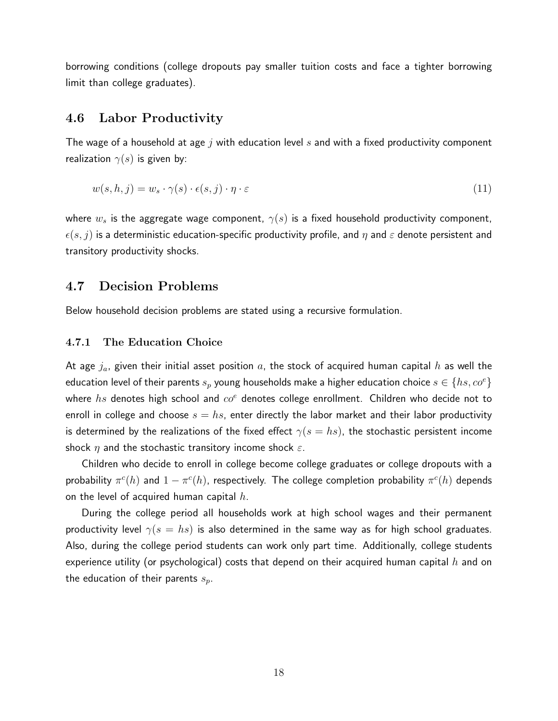borrowing conditions (college dropouts pay smaller tuition costs and face a tighter borrowing limit than college graduates).

#### 4.6 Labor Productivity

The wage of a household at age  $j$  with education level  $s$  and with a fixed productivity component realization  $\gamma(s)$  is given by:

$$
w(s, h, j) = w_s \cdot \gamma(s) \cdot \epsilon(s, j) \cdot \eta \cdot \varepsilon \tag{11}
$$

where  $w_s$  is the aggregate wage component,  $\gamma(s)$  is a fixed household productivity component,  $\epsilon(s, j)$  is a deterministic education-specific productivity profile, and  $\eta$  and  $\varepsilon$  denote persistent and transitory productivity shocks.

## 4.7 Decision Problems

Below household decision problems are stated using a recursive formulation.

#### 4.7.1 The Education Choice

At age  $j_a$ , given their initial asset position a, the stock of acquired human capital h as well the education level of their parents  $s_p$  young households make a higher education choice  $s \in \{hs, c o^e\}$ where hs denotes high school and  $\cos^e$  denotes college enrollment. Children who decide not to enroll in college and choose  $s = hs$ , enter directly the labor market and their labor productivity is determined by the realizations of the fixed effect  $\gamma(s = hs)$ , the stochastic persistent income shock  $\eta$  and the stochastic transitory income shock  $\varepsilon$ .

Children who decide to enroll in college become college graduates or college dropouts with a probability  $\pi^c(h)$  and  $1-\pi^c(h)$ , respectively. The college completion probability  $\pi^c(h)$  depends on the level of acquired human capital  $h$ .

During the college period all households work at high school wages and their permanent productivity level  $\gamma(s = hs)$  is also determined in the same way as for high school graduates. Also, during the college period students can work only part time. Additionally, college students experience utility (or psychological) costs that depend on their acquired human capital h and on the education of their parents  $s_n$ .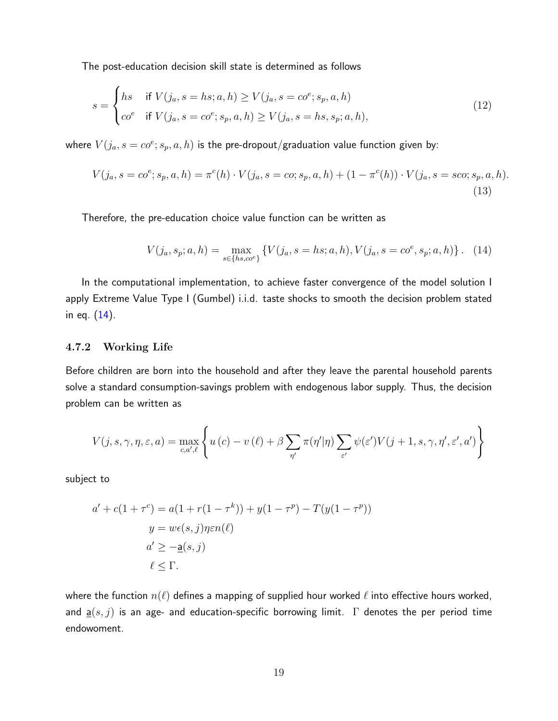The post-education decision skill state is determined as follows

$$
s = \begin{cases} hs & \text{if } V(j_a, s = hs; a, h) \ge V(j_a, s = co^e; s_p, a, h) \\ co^e & \text{if } V(j_a, s = co^e; s_p, a, h) \ge V(j_a, s = hs, s_p; a, h), \end{cases}
$$
(12)

where  $V(j_a, s = co^e; s_p, a, h)$  is the pre-dropout/graduation value function given by:

$$
V(j_a, s = co^e; s_p, a, h) = \pi^c(h) \cdot V(j_a, s = co; s_p, a, h) + (1 - \pi^c(h)) \cdot V(j_a, s = sco; s_p, a, h).
$$
\n(13)

Therefore, the pre-education choice value function can be written as

<span id="page-18-0"></span>
$$
V(j_a, s_p; a, h) = \max_{s \in \{hs, c e^e\}} \{ V(j_a, s = hs; a, h), V(j_a, s = co^e, s_p; a, h) \}. \tag{14}
$$

In the computational implementation, to achieve faster convergence of the model solution I apply Extreme Value Type I (Gumbel) i.i.d. taste shocks to smooth the decision problem stated in eq. [\(14\)](#page-18-0).

#### 4.7.2 Working Life

Before children are born into the household and after they leave the parental household parents solve a standard consumption-savings problem with endogenous labor supply. Thus, the decision problem can be written as

$$
V(j, s, \gamma, \eta, \varepsilon, a) = \max_{c, a', \ell} \left\{ u(c) - v(\ell) + \beta \sum_{\eta'} \pi(\eta'|\eta) \sum_{\varepsilon'} \psi(\varepsilon') V(j+1, s, \gamma, \eta', \varepsilon', a') \right\}
$$

subject to

$$
a' + c(1 + \tau^c) = a(1 + r(1 - \tau^k)) + y(1 - \tau^p) - T(y(1 - \tau^p))
$$
  

$$
y = w\epsilon(s, j)\eta \epsilon n(\ell)
$$
  

$$
a' \ge -a(s, j)
$$
  

$$
\ell \le \Gamma.
$$

where the function  $n(\ell)$  defines a mapping of supplied hour worked  $\ell$  into effective hours worked, and  $a(s, j)$  is an age- and education-specific borrowing limit.  $\Gamma$  denotes the per period time endowoment.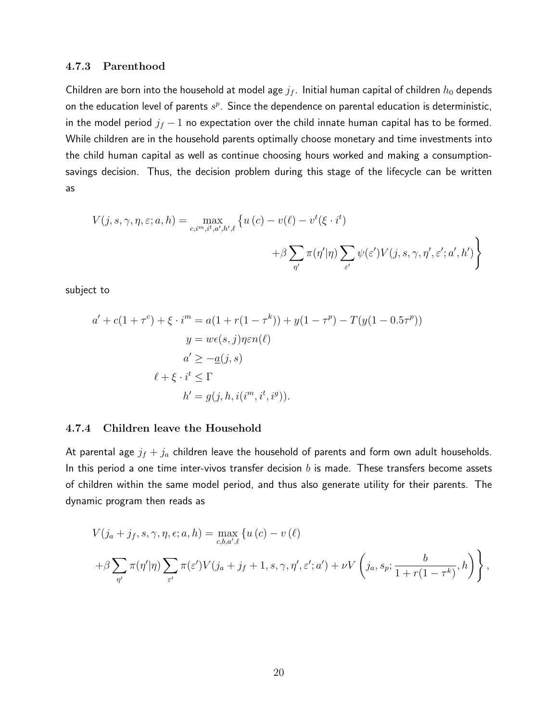#### 4.7.3 Parenthood

Children are born into the household at model age  $j_f$ . Initial human capital of children  $h_0$  depends on the education level of parents  $s^p$ . Since the dependence on parental education is deterministic, in the model period  $j_f - 1$  no expectation over the child innate human capital has to be formed. While children are in the household parents optimally choose monetary and time investments into the child human capital as well as continue choosing hours worked and making a consumptionsavings decision. Thus, the decision problem during this stage of the lifecycle can be written as

$$
V(j, s, \gamma, \eta, \varepsilon; a, h) = \max_{c, i^m, i^t, a', h', \ell} \left\{ u(c) - v(\ell) - v^t(\xi \cdot i^t) + \beta \sum_{\eta'} \pi(\eta'|\eta) \sum_{\varepsilon'} \psi(\varepsilon') V(j, s, \gamma, \eta', \varepsilon'; a', h') \right\}
$$

subject to

$$
a' + c(1 + \tau^c) + \xi \cdot i^m = a(1 + r(1 - \tau^k)) + y(1 - \tau^p) - T(y(1 - 0.5\tau^p))
$$
  

$$
y = w\epsilon(s, j)\eta \epsilon n(\ell)
$$
  

$$
a' \ge -a(j, s)
$$
  

$$
\ell + \xi \cdot i^t \le \Gamma
$$
  

$$
h' = g(j, h, i(i^m, i^t, i^g)).
$$

#### 4.7.4 Children leave the Household

At parental age  $j_f + j_a$  children leave the household of parents and form own adult households. In this period a one time inter-vivos transfer decision  $b$  is made. These transfers become assets of children within the same model period, and thus also generate utility for their parents. The dynamic program then reads as

$$
V(j_a + j_f, s, \gamma, \eta, \epsilon; a, h) = \max_{c, b, a', \ell} \{ u(c) - v(\ell) + \beta \sum_{\tau'} \pi(\eta'|\eta) \sum_{\epsilon'} \pi(\epsilon') V(j_a + j_f + 1, s, \gamma, \eta', \epsilon'; a') + \nu V \left( j_a, s_p; \frac{b}{1 + r(1 - \tau^k)}, h \right) \},
$$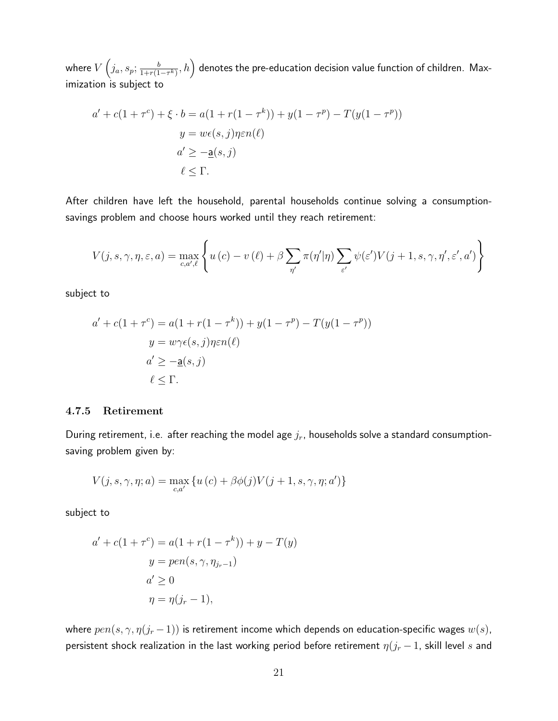where  $V\left(j_a,s_p;\frac{b}{1+r(1)}\right)$  $\left(\frac{b}{1+r(1-\tau^k)},h\right)$  denotes the pre-education decision value function of children. Maximization is subject to

$$
a' + c(1 + \tau^c) + \xi \cdot b = a(1 + r(1 - \tau^k)) + y(1 - \tau^p) - T(y(1 - \tau^p))
$$
  

$$
y = w\epsilon(s, j)\eta \epsilon n(\ell)
$$
  

$$
a' \ge -a(s, j)
$$
  

$$
\ell \le \Gamma.
$$

After children have left the household, parental households continue solving a consumptionsavings problem and choose hours worked until they reach retirement:

$$
V(j, s, \gamma, \eta, \varepsilon, a) = \max_{c, a', \ell} \left\{ u(c) - v(\ell) + \beta \sum_{\eta'} \pi(\eta'|\eta) \sum_{\varepsilon'} \psi(\varepsilon') V(j+1, s, \gamma, \eta', \varepsilon', a') \right\}
$$

subject to

$$
a' + c(1 + \tau^c) = a(1 + r(1 - \tau^k)) + y(1 - \tau^p) - T(y(1 - \tau^p))
$$
  

$$
y = w\gamma\epsilon(s, j)\eta\epsilon n(\ell)
$$
  

$$
a' \ge -a(s, j)
$$
  

$$
\ell \le \Gamma.
$$

#### 4.7.5 Retirement

During retirement, i.e. after reaching the model age  $j_r$ , households solve a standard consumptionsaving problem given by:

$$
V(j,s,\gamma,\eta;a) = \max_{c,a'} \left\{ u(c) + \beta \phi(j) V(j+1,s,\gamma,\eta;a') \right\}
$$

subject to

$$
a' + c(1 + \tau^c) = a(1 + r(1 - \tau^k)) + y - T(y)
$$

$$
y = pen(s, \gamma, \eta_{j_r-1})
$$

$$
a' \ge 0
$$

$$
\eta = \eta(j_r - 1),
$$

where  $pen(s, \gamma, \eta(j_r-1))$  is retirement income which depends on education-specific wages  $w(s)$ , persistent shock realization in the last working period before retirement  $\eta(j_r-1)$ , skill level s and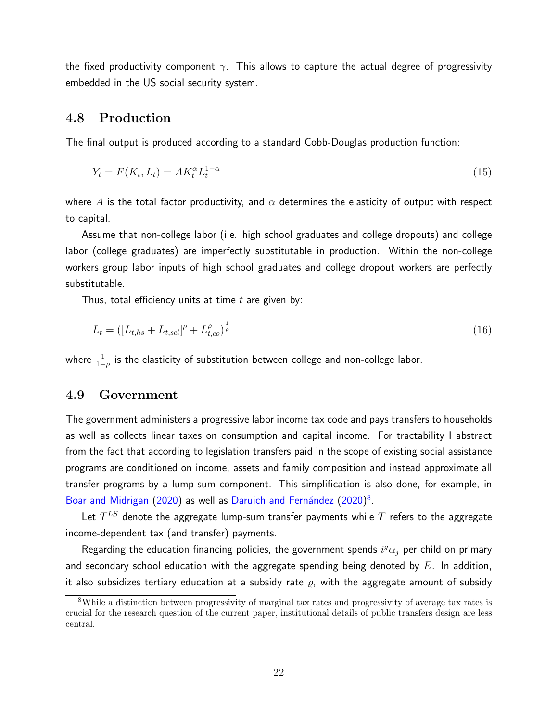the fixed productivity component  $\gamma$ . This allows to capture the actual degree of progressivity embedded in the US social security system.

## 4.8 Production

The final output is produced according to a standard Cobb-Douglas production function:

$$
Y_t = F(K_t, L_t) = AK_t^{\alpha}L_t^{1-\alpha}
$$
\n
$$
(15)
$$

where A is the total factor productivity, and  $\alpha$  determines the elasticity of output with respect to capital.

Assume that non-college labor (i.e. high school graduates and college dropouts) and college labor (college graduates) are imperfectly substitutable in production. Within the non-college workers group labor inputs of high school graduates and college dropout workers are perfectly substitutable.

Thus, total efficiency units at time  $t$  are given by:

$$
L_t = \left( [L_{t,hs} + L_{t,sd}]^{\rho} + L_{t,co}^{\rho} \right)^{\frac{1}{\rho}}
$$
\n(16)

where  $\frac{1}{1-\rho}$  is the elasticity of substitution between college and non-college labor.

#### 4.9 Government

The government administers a progressive labor income tax code and pays transfers to households as well as collects linear taxes on consumption and capital income. For tractability I abstract from the fact that according to legislation transfers paid in the scope of existing social assistance programs are conditioned on income, assets and family composition and instead approximate all transfer programs by a lump-sum component. This simplification is also done, for example, in [Boar and Midrigan](#page-42-8) [\(2020\)](#page-43-7) as well as Daruich and Fernández (2020)<sup>[8](#page-21-0)</sup>.

Let  $T^{LS}$  denote the aggregate lump-sum transfer payments while  $T$  refers to the aggregate income-dependent tax (and transfer) payments.

Regarding the education financing policies, the government spends  $i^g\alpha_j$  per child on primary and secondary school education with the aggregate spending being denoted by  $E$ . In addition, it also subsidizes tertiary education at a subsidy rate  $\varrho$ , with the aggregate amount of subsidy

<span id="page-21-0"></span><sup>8</sup>While a distinction between progressivity of marginal tax rates and progressivity of average tax rates is crucial for the research question of the current paper, institutional details of public transfers design are less central.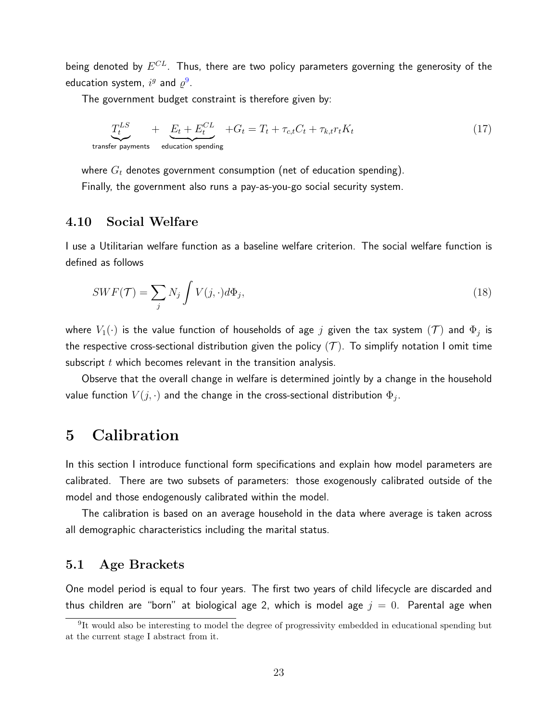being denoted by  $E^{CL}.$  Thus, there are two policy parameters governing the generosity of the education system,  $i^g$  and  $\varrho^9$  $\varrho^9$ .

The government budget constraint is therefore given by:

$$
\underbrace{T_t^{LS}}_{\text{transfer payments}} + \underbrace{E_t + E_t^{CL}}_{\text{eduction spending}} + G_t = T_t + \tau_{c,t} C_t + \tau_{k,t} r_t K_t
$$
\n(17)

where  $G_t$  denotes government consumption (net of education spending). Finally, the government also runs a pay-as-you-go social security system.

## 4.10 Social Welfare

I use a Utilitarian welfare function as a baseline welfare criterion. The social welfare function is defined as follows

$$
SWF(\mathcal{T}) = \sum_{j} N_j \int V(j, \cdot) d\Phi_j,
$$
\n(18)

where  $V_1(\cdot)$  is the value function of households of age  $j$  given the tax system  $(\mathcal{T})$  and  $\Phi_j$  is the respective cross-sectional distribution given the policy  $(\mathcal{T})$ . To simplify notation I omit time subscript  $t$  which becomes relevant in the transition analysis.

Observe that the overall change in welfare is determined jointly by a change in the household value function  $V(j,\cdot)$  and the change in the cross-sectional distribution  $\Phi_j.$ 

## 5 Calibration

In this section I introduce functional form specifications and explain how model parameters are calibrated. There are two subsets of parameters: those exogenously calibrated outside of the model and those endogenously calibrated within the model.

The calibration is based on an average household in the data where average is taken across all demographic characteristics including the marital status.

## 5.1 Age Brackets

One model period is equal to four years. The first two years of child lifecycle are discarded and thus children are "born" at biological age 2, which is model age  $j = 0$ . Parental age when

<span id="page-22-0"></span><sup>&</sup>lt;sup>9</sup>It would also be interesting to model the degree of progressivity embedded in educational spending but at the current stage I abstract from it.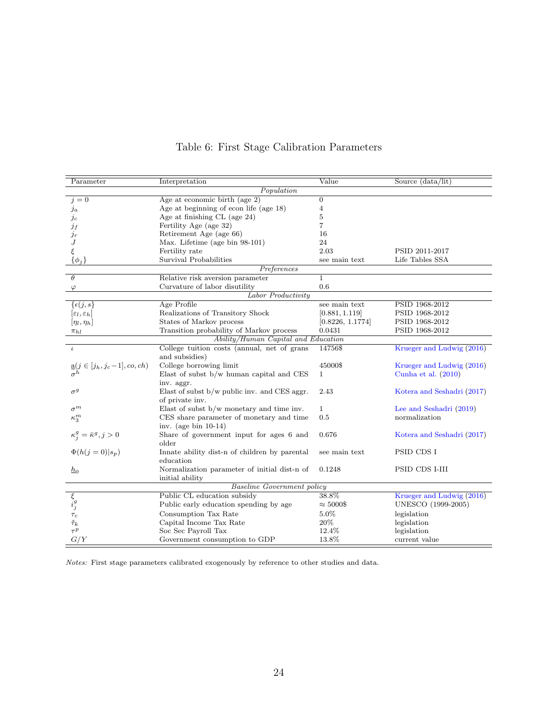| Parameter                                                       | Interpretation                                                | Value            | Source (data/lit)          |
|-----------------------------------------------------------------|---------------------------------------------------------------|------------------|----------------------------|
|                                                                 | Population                                                    |                  |                            |
| $i=0$                                                           | Age at economic birth (age $2$ )                              | $\overline{0}$   |                            |
| $_{ja}$                                                         | Age at beginning of econ life (age 18)                        | 4                |                            |
| $j_c$                                                           | Age at finishing $CL$ (age 24)                                | 5                |                            |
| $j_f\,$                                                         | Fertility Age (age 32)                                        | 7                |                            |
| $j_r$                                                           | Retirement Age (age 66)                                       | 16               |                            |
| J                                                               | Max. Lifetime (age bin 98-101)                                | 24               |                            |
| ξ                                                               | Fertility rate                                                | 2.03             | PSID 2011-2017             |
| $\{\phi_j\}$                                                    | Survival Probabilities                                        | see main text    | Life Tables SSA            |
|                                                                 | Preferences                                                   |                  |                            |
| $\theta$                                                        | Relative risk aversion parameter                              | 1                |                            |
| $\varphi$                                                       | Curvature of labor disutility                                 | 0.6              |                            |
|                                                                 | Labor Productivity                                            |                  |                            |
| $\{\epsilon(j,s\}$                                              | Age Profile                                                   | see main text    | PSID 1968-2012             |
| $[\varepsilon_l, \varepsilon_h]$                                | Realizations of Transitory Shock                              | [0.881, 1.119]   | PSID 1968-2012             |
| $[\eta_l, \eta_h]$                                              | States of Markov process                                      | [0.8226, 1.1774] | PSID 1968-2012             |
| $\pi_{hl}$                                                      | Transition probability of Markov process                      | 0.0431           | PSID 1968-2012             |
|                                                                 | Ability/Human Capital and Education                           |                  |                            |
| $\iota$                                                         | College tuition costs (annual, net of grans<br>and subsidies) | 14756\$          | Krueger and Ludwig (2016)  |
| $\underbrace{\mathbf{a}}_{\sigma} (j \in [j_h, j_c-1], co, ch)$ | College borrowing limit                                       | 45000\$          | Krueger and Ludwig (2016)  |
|                                                                 | Elast of subst b/w human capital and CES                      | $\mathbf{1}$     | Cunha et al. $(2010)$      |
|                                                                 | inv. aggr.                                                    |                  |                            |
| $\sigma^g$                                                      | Elast of subst b/w public inv. and CES aggr.                  | 2.43             | Kotera and Seshadri (2017) |
|                                                                 | of private inv.                                               |                  |                            |
| $\sigma^m$                                                      | Elast of subst $b/w$ monetary and time inv.                   | $\mathbf{1}$     | Lee and Seshadri (2019)    |
| $\kappa_3^m$                                                    | CES share parameter of monetary and time                      | 0.5              | normalization              |
|                                                                 | inv. (age bin $10-14$ )                                       |                  |                            |
| $\kappa^g_j = \bar{\kappa}^g, j > 0$                            | Share of government input for ages 6 and                      | 0.676            | Kotera and Seshadri (2017) |
|                                                                 | older                                                         |                  |                            |
| $\Phi(h(j=0) s_p)$                                              | Innate ability dist-n of children by parental                 | see main text    | PSID CDS I                 |
|                                                                 | education                                                     |                  |                            |
| $h_{0}$                                                         | Normalization parameter of initial dist-n of                  | 0.1248           | PSID CDS I-III             |
|                                                                 | initial ability                                               |                  |                            |
|                                                                 | <b>Baseline Government policy</b>                             |                  |                            |
|                                                                 | Public CL education subsidy                                   | 38.8%            | Krueger and Ludwig (2016)  |
| $\overline{\xi}_i$<br>$i_j^g$                                   | Public early education spending by age                        | $\approx 5000\$  | UNESCO (1999-2005)         |
| $\tau_c$                                                        | Consumption Tax Rate                                          | 5.0%             | legislation                |
| $\tilde{\tau}_k$                                                | Capital Income Tax Rate                                       | 20%              | legislation                |
| $\tau^p$                                                        | Soc Sec Payroll Tax                                           | 12.4%            | legislation                |
| G/Y                                                             | Government consumption to GDP                                 | 13.8%            | current value              |

## Table 6: First Stage Calibration Parameters

Notes: First stage parameters calibrated exogenously by reference to other studies and data.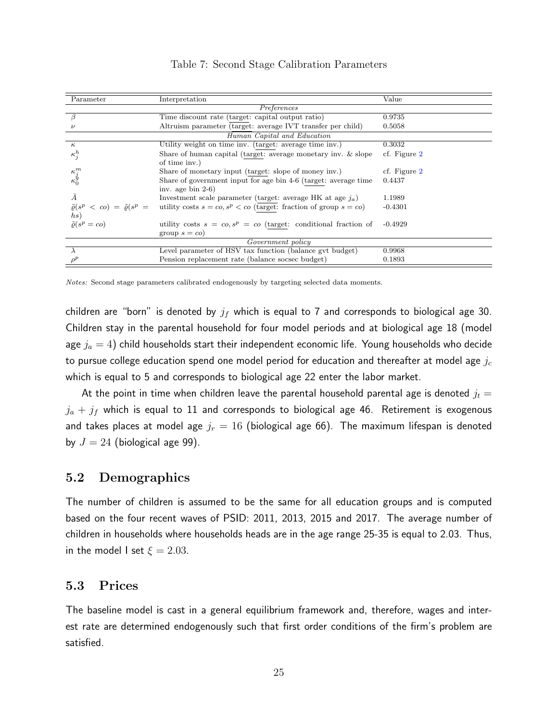| Parameter                                              |                                                                              | Value        |
|--------------------------------------------------------|------------------------------------------------------------------------------|--------------|
|                                                        | Interpretation                                                               |              |
|                                                        | Preferences                                                                  |              |
| β                                                      | Time discount rate (target: capital output ratio)                            | 0.9735       |
| $\nu$                                                  | Altruism parameter (target: average IVT transfer per child)                  | 0.5058       |
|                                                        | Human Capital and Education                                                  |              |
| $\kappa$                                               | Utility weight on time inv. (target: average time inv.)                      | 0.3032       |
| $\kappa_j^h$                                           | Share of human capital (target: average monetary inv. & slope                | cf. Figure 2 |
|                                                        | of time inv.)                                                                |              |
|                                                        | Share of monetary input (target: slope of money inv.)                        | cf. Figure 2 |
| $\kappa^m_j \kappa^g_0$                                | Share of government input for age bin 4-6 (target: average time              | 0.4437       |
|                                                        | inv. age bin $2-6$ )                                                         |              |
| Ā                                                      | Investment scale parameter (target: average HK at age $j_a$ )                | 1.1989       |
| $\tilde{\varrho}(s^p \lt c o) = \tilde{\varrho}(s^p =$ | utility costs $s = c_0$ , $s^p < c_0$ (target: fraction of group $s = c_0$ ) | $-0.4301$    |
| hs)                                                    |                                                                              |              |
| $\tilde{\rho}(s^p = co)$                               | utility costs $s = co, s^p = co$ (target: conditional fraction of            | $-0.4929$    |
|                                                        | group $s = co$                                                               |              |
| Government policy                                      |                                                                              |              |
|                                                        | Level parameter of HSV tax function (balance gvt budget)                     | 0.9968       |
|                                                        | Pension replacement rate (balance socsec budget)                             | 0.1893       |

|  |  |  | Table 7: Second Stage Calibration Parameters |  |
|--|--|--|----------------------------------------------|--|
|--|--|--|----------------------------------------------|--|

Notes: Second stage parameters calibrated endogenously by targeting selected data moments.

children are "born" is denoted by  $j_f$  which is equal to 7 and corresponds to biological age 30. Children stay in the parental household for four model periods and at biological age 18 (model age  $j_a = 4$ ) child households start their independent economic life. Young households who decide to pursue college education spend one model period for education and thereafter at model age  $j_c$ which is equal to 5 and corresponds to biological age 22 enter the labor market.

At the point in time when children leave the parental household parental age is denoted  $j_t =$  $j_a + j_f$  which is equal to 11 and corresponds to biological age 46. Retirement is exogenous and takes places at model age  $j_r = 16$  (biological age 66). The maximum lifespan is denoted by  $J = 24$  (biological age 99).

## 5.2 Demographics

The number of children is assumed to be the same for all education groups and is computed based on the four recent waves of PSID: 2011, 2013, 2015 and 2017. The average number of children in households where households heads are in the age range 25-35 is equal to 2.03. Thus, in the model I set  $\xi = 2.03$ .

## 5.3 Prices

The baseline model is cast in a general equilibrium framework and, therefore, wages and interest rate are determined endogenously such that first order conditions of the firm's problem are satisfied.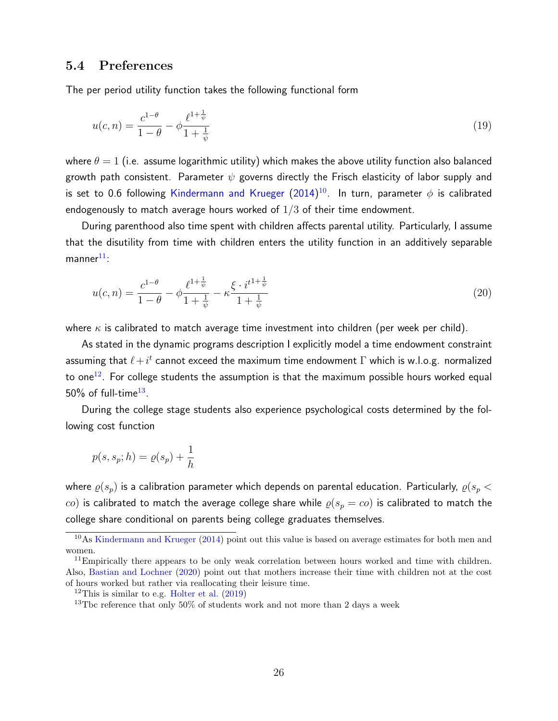### 5.4 Preferences

The per period utility function takes the following functional form

$$
u(c,n) = \frac{c^{1-\theta}}{1-\theta} - \phi \frac{\ell^{1+\frac{1}{\psi}}}{1+\frac{1}{\psi}}
$$
\n(19)

where  $\theta = 1$  (i.e. assume logarithmic utility) which makes the above utility function also balanced growth path consistent. Parameter  $\psi$  governs directly the Frisch elasticity of labor supply and is set to 0.6 following [Kindermann and Krueger](#page-44-4) [\(2014\)](#page-44-4) $^{10}$  $^{10}$  $^{10}$ . In turn, parameter  $\phi$  is calibrated endogenously to match average hours worked of  $1/3$  of their time endowment.

During parenthood also time spent with children affects parental utility. Particularly, I assume that the disutility from time with children enters the utility function in an additively separable  $manner<sup>11</sup>$  $manner<sup>11</sup>$  $manner<sup>11</sup>$ :

$$
u(c,n) = \frac{c^{1-\theta}}{1-\theta} - \phi \frac{\ell^{1+\frac{1}{\psi}}}{1+\frac{1}{\psi}} - \kappa \frac{\xi \cdot i^{t^{1+\frac{1}{\psi}}}}{1+\frac{1}{\psi}}
$$
(20)

where  $\kappa$  is calibrated to match average time investment into children (per week per child).

As stated in the dynamic programs description I explicitly model a time endowment constraint assuming that  $\ell + i^t$  cannot exceed the maximum time endowment  $\Gamma$  which is w.l.o.g. normalized to one<sup>[12](#page-25-2)</sup>. For college students the assumption is that the maximum possible hours worked equal  $50\%$  of full-time $^{13}$  $^{13}$  $^{13}$ .

During the college stage students also experience psychological costs determined by the following cost function

$$
p(s, s_p; h) = \varrho(s_p) + \frac{1}{h}
$$

where  $\varrho(s_p)$  is a calibration parameter which depends on parental education. Particularly,  $\varrho(s_p <$ co) is calibrated to match the average college share while  $\rho(s_p = co)$  is calibrated to match the college share conditional on parents being college graduates themselves.

<span id="page-25-0"></span><sup>&</sup>lt;sup>10</sup>As [Kindermann and Krueger](#page-44-4) [\(2014\)](#page-44-4) point out this value is based on average estimates for both men and women.

<span id="page-25-1"></span><sup>&</sup>lt;sup>11</sup>Empirically there appears to be only weak correlation between hours worked and time with children. Also, [Bastian and Lochner](#page-42-1) [\(2020\)](#page-42-1) point out that mothers increase their time with children not at the cost of hours worked but rather via reallocating their leisure time.

<span id="page-25-2"></span><sup>&</sup>lt;sup>12</sup>This is similar to e.g. [Holter et al.](#page-43-9)  $(2019)$ 

<span id="page-25-3"></span><sup>13</sup>Tbc reference that only 50% of students work and not more than 2 days a week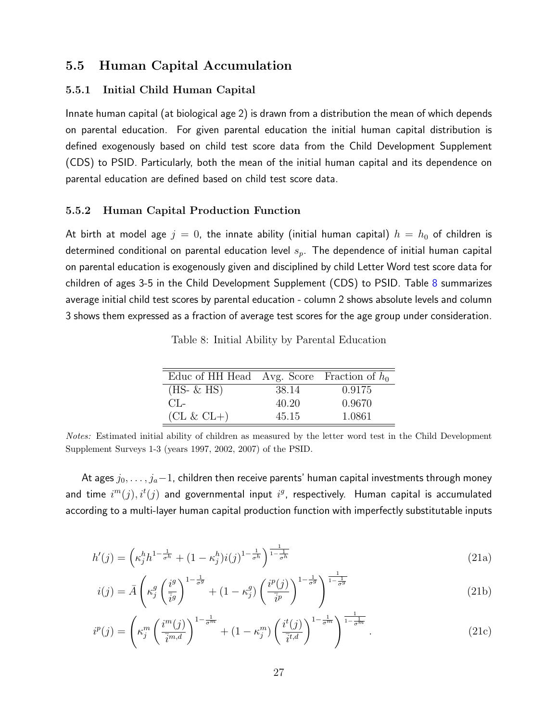### 5.5 Human Capital Accumulation

#### 5.5.1 Initial Child Human Capital

Innate human capital (at biological age 2) is drawn from a distribution the mean of which depends on parental education. For given parental education the initial human capital distribution is defined exogenously based on child test score data from the Child Development Supplement (CDS) to PSID. Particularly, both the mean of the initial human capital and its dependence on parental education are defined based on child test score data.

#### 5.5.2 Human Capital Production Function

<span id="page-26-0"></span>At birth at model age  $j = 0$ , the innate ability (initial human capital)  $h = h_0$  of children is determined conditional on parental education level  $s_p$ . The dependence of initial human capital on parental education is exogenously given and disciplined by child Letter Word test score data for children of ages 3-5 in the Child Development Supplement (CDS) to PSID. Table [8](#page-26-0) summarizes average initial child test scores by parental education - column 2 shows absolute levels and column 3 shows them expressed as a fraction of average test scores for the age group under consideration.

Table 8: Initial Ability by Parental Education

| Educ of HH Head Avg. Score Fraction of $h_0$ |       |        |
|----------------------------------------------|-------|--------|
| $(HS- \& HS)$                                | 38.14 | 0.9175 |
| $CL_{\text{c}}$                              | 40.20 | 0.9670 |
| $CL & CL+)$                                  | 45.15 | 1.0861 |

Notes: Estimated initial ability of children as measured by the letter word test in the Child Development Supplement Surveys 1-3 (years 1997, 2002, 2007) of the PSID.

At ages  $j_0,\ldots,j_a\!-\!1$ , children then receive parents' human capital investments through money and time  $i^{m}(j), i^{t}(j)$  and governmental input  $i^{g}$ , respectively. Human capital is accumulated according to a multi-layer human capital production function with imperfectly substitutable inputs

$$
h'(j) = \left(\kappa_j^h h^{1-\frac{1}{\sigma^h}} + (1-\kappa_j^h)i(j)^{1-\frac{1}{\sigma^h}}\right)^{\frac{1}{1-\frac{1}{\sigma^h}}}
$$
(21a)

$$
i(j) = \bar{A} \left( \kappa_j^g \left( \frac{i^g}{\overline{i}g} \right)^{1 - \frac{1}{\sigma^g}} + (1 - \kappa_j^g) \left( \frac{i^p(j)}{\overline{i}p} \right)^{1 - \frac{1}{\sigma^g}} \right)^{\frac{1}{1 - \frac{1}{\sigma^g}}} \tag{21b}
$$

$$
i^p(j) = \left(\kappa_j^m \left(\frac{i^m(j)}{\overline{i}^{m,d}}\right)^{1-\frac{1}{\sigma^m}} + (1-\kappa_j^m) \left(\frac{i^t(j)}{\overline{i}^{t,d}}\right)^{1-\frac{1}{\sigma^m}}\right)^{\frac{1}{1-\frac{1}{\sigma^m}}}.
$$
\n(21c)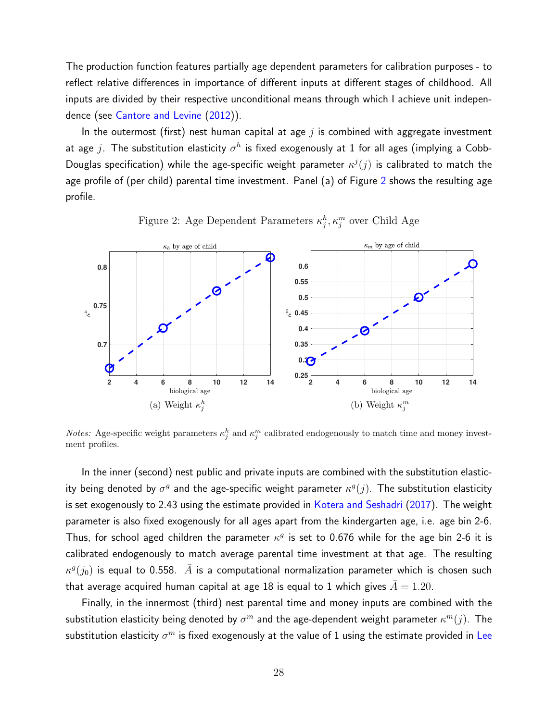The production function features partially age dependent parameters for calibration purposes - to reflect relative differences in importance of different inputs at different stages of childhood. All inputs are divided by their respective unconditional means through which I achieve unit independence (see [Cantore and Levine](#page-42-10) [\(2012\)](#page-42-10)).

In the outermost (first) nest human capital at age  $i$  is combined with aggregate investment at age  $j$ . The substitution elasticity  $\sigma^h$  is fixed exogenously at 1 for all ages (implying a Cobb-Douglas specification) while the age-specific weight parameter  $\kappa^{j}(j)$  is calibrated to match the age profile of (per child) parental time investment. Panel (a) of Figure [2](#page-27-0) shows the resulting age profile.

<span id="page-27-0"></span>

Figure 2: Age Dependent Parameters  $\kappa_j^h, \kappa_j^m$  over Child Age

*Notes:* Age-specific weight parameters  $\kappa_j^h$  and  $\kappa_j^m$  calibrated endogenously to match time and money investment profiles.

In the inner (second) nest public and private inputs are combined with the substitution elasticity being denoted by  $\sigma^g$  and the age-specific weight parameter  $\kappa^g(j)$ . The substitution elasticity is set exogenously to 2.43 using the estimate provided in [Kotera and Seshadri](#page-44-3) [\(2017\)](#page-44-3). The weight parameter is also fixed exogenously for all ages apart from the kindergarten age, i.e. age bin 2-6. Thus, for school aged children the parameter  $\kappa^g$  is set to 0.676 while for the age bin 2-6 it is calibrated endogenously to match average parental time investment at that age. The resulting  $\kappa^g(j_0)$  is equal to 0.558.  $\,\bar{A}$  is a computational normalization parameter which is chosen such that average acquired human capital at age 18 is equal to 1 which gives  $\bar{A} = 1.20$ .

Finally, in the innermost (third) nest parental time and money inputs are combined with the substitution elasticity being denoted by  $\sigma^m$  and the age-dependent weight parameter  $\kappa^m(j)$ . The substitution elasticity  $\sigma^m$  is fixed exogenously at the value of 1 using the estimate provided in [Lee](#page-44-2)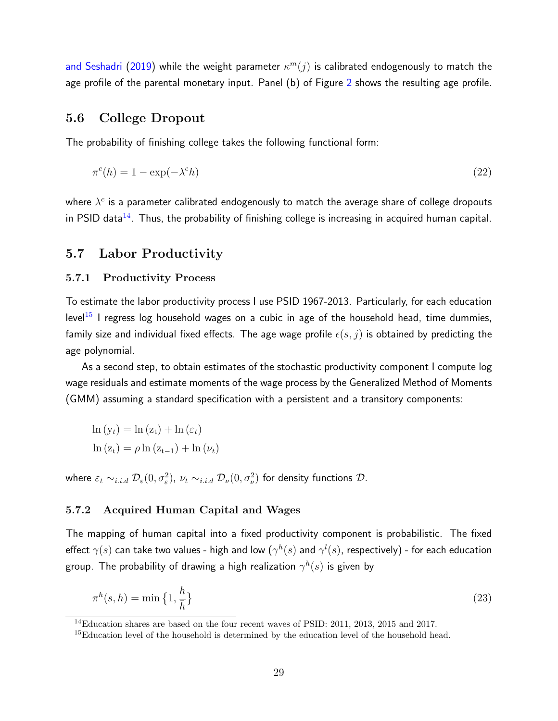[and Seshadri](#page-44-2) [\(2019\)](#page-44-2) while the weight parameter  $\kappa^m(j)$  is calibrated endogenously to match the age profile of the parental monetary input. Panel (b) of Figure [2](#page-27-0) shows the resulting age profile.

### 5.6 College Dropout

The probability of finishing college takes the following functional form:

$$
\pi^c(h) = 1 - \exp(-\lambda^c h) \tag{22}
$$

where  $\lambda^c$  is a parameter calibrated endogenously to match the average share of college dropouts in PSID data $^{14}$  $^{14}$  $^{14}$ . Thus, the probability of finishing college is increasing in acquired human capital.

#### 5.7 Labor Productivity

#### 5.7.1 Productivity Process

To estimate the labor productivity process I use PSID 1967-2013. Particularly, for each education level<sup>[15](#page-28-1)</sup> I regress log household wages on a cubic in age of the household head, time dummies, family size and individual fixed effects. The age wage profile  $\epsilon(s, j)$  is obtained by predicting the age polynomial.

As a second step, to obtain estimates of the stochastic productivity component I compute log wage residuals and estimate moments of the wage process by the Generalized Method of Moments (GMM) assuming a standard specification with a persistent and a transitory components:

$$
\ln(y_t) = \ln(z_t) + \ln(\varepsilon_t)
$$

$$
\ln(z_t) = \rho \ln(z_{t-1}) + \ln(\nu_t)
$$

where  $\varepsilon_t\sim_{i.i.d} \mathcal{D}_\varepsilon(0,\sigma_\varepsilon^2)$ ,  $\nu_t\sim_{i.i.d} \mathcal{D}_\nu(0,\sigma_\nu^2)$  for density functions  $\mathcal{D}.$ 

#### 5.7.2 Acquired Human Capital and Wages

The mapping of human capital into a fixed productivity component is probabilistic. The fixed effect  $\gamma(s)$  can take two values - high and low  $(\gamma^h(s)$  and  $\gamma^l(s)$ , respectively) - for each education group. The probability of drawing a high realization  $\gamma^h(s)$  is given by

<span id="page-28-2"></span>
$$
\pi^h(s,h) = \min\left\{1, \frac{h}{\bar{h}}\right\} \tag{23}
$$

<span id="page-28-0"></span><sup>14</sup>Education shares are based on the four recent waves of PSID:  $2011$ ,  $2013$ ,  $2015$  and  $2017$ .

<span id="page-28-1"></span> $^{15}$ Education level of the household is determined by the education level of the household head.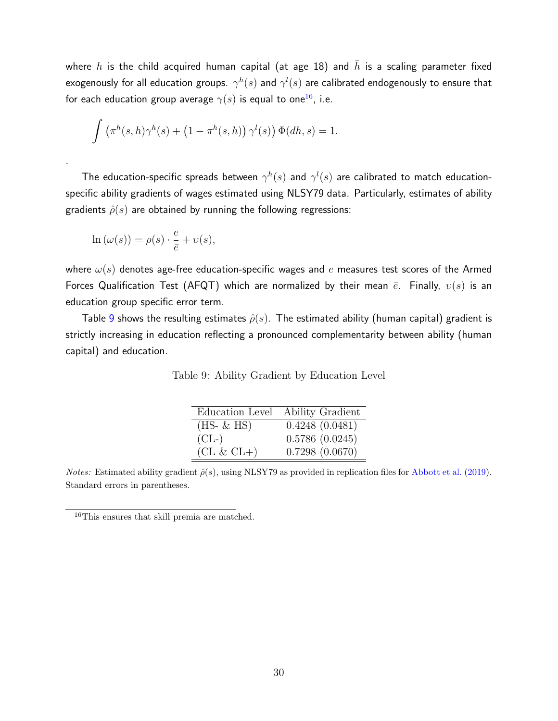where h is the child acquired human capital (at age 18) and  $\bar{h}$  is a scaling parameter fixed exogenously for all education groups.  $\gamma^h(s)$  and  $\gamma^l(s)$  are calibrated endogenously to ensure that for each education group average  $\gamma(s)$  is equal to one<sup>[16](#page-29-0)</sup>, i.e.

$$
\int \left(\pi^h(s,h)\gamma^h(s) + \left(1 - \pi^h(s,h)\right)\gamma^l(s)\right) \Phi(dh,s) = 1.
$$

The education-specific spreads between  $\gamma^h(s)$  and  $\gamma^l(s)$  are calibrated to match educationspecific ability gradients of wages estimated using NLSY79 data. Particularly, estimates of ability gradients  $\hat{\rho}(s)$  are obtained by running the following regressions:

$$
\ln(\omega(s)) = \rho(s) \cdot \frac{e}{\bar{e}} + \upsilon(s),
$$

.

where  $\omega(s)$  denotes age-free education-specific wages and e measures test scores of the Armed Forces Qualification Test (AFQT) which are normalized by their mean  $\bar{e}$ . Finally,  $v(s)$  is an education group specific error term.

<span id="page-29-1"></span>Table [9](#page-29-1) shows the resulting estimates  $\hat{\rho}(s)$ . The estimated ability (human capital) gradient is strictly increasing in education reflecting a pronounced complementarity between ability (human capital) and education.

| Education Level | Ability Gradient |
|-----------------|------------------|
| $(HS- \& HS)$   | 0.4248(0.0481)   |
| $CL$ -          | 0.5786(0.0245)   |
| $CL & CL+)$     | 0.7298(0.0670)   |

*Notes:* Estimated ability gradient  $\hat{\rho}(s)$ , using NLSY79 as provided in replication files for [Abbott et al.](#page-42-11) [\(2019\)](#page-42-11). Standard errors in parentheses.

<span id="page-29-0"></span><sup>16</sup>This ensures that skill premia are matched.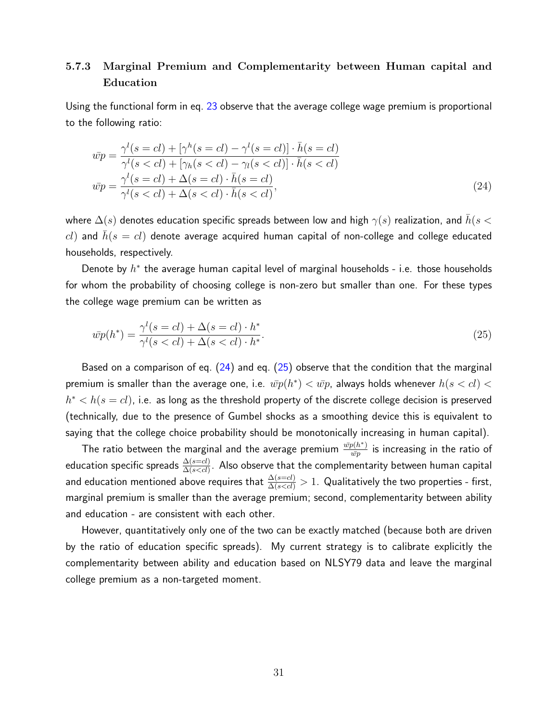## 5.7.3 Marginal Premium and Complementarity between Human capital and Education

Using the functional form in eq. [23](#page-28-2) observe that the average college wage premium is proportional to the following ratio:

<span id="page-30-0"></span>
$$
\bar{wp} = \frac{\gamma^l(s = cl) + [\gamma^h(s = cl) - \gamma^l(s = cl)] \cdot \bar{h}(s = cl)}{\gamma^l(s < cl) + [\gamma_h(s < cl) - \gamma_l(s < cl)] \cdot \bar{h}(s < cl)} \n\bar{wp} = \frac{\gamma^l(s = cl) + \Delta(s = cl) \cdot \bar{h}(s = cl)}{\gamma^l(s < cl) + \Delta(s < cl) \cdot \bar{h}(s < cl)},
$$
\n(24)

where  $\Delta(s)$  denotes education specific spreads between low and high  $\gamma(s)$  realization, and  $\bar{h}(s <$  $cl$ ) and  $\bar{h}(s = cl)$  denote average acquired human capital of non-college and college educated households, respectively.

Denote by  $h^*$  the average human capital level of marginal households - i.e. those households for whom the probability of choosing college is non-zero but smaller than one. For these types the college wage premium can be written as

<span id="page-30-1"></span>
$$
\bar{wp}(h^*) = \frac{\gamma^l(s=cl) + \Delta(s=cl) \cdot h^*}{\gamma^l(s\n(25)
$$

Based on a comparison of eq.  $(24)$  and eq.  $(25)$  observe that the condition that the marginal premium is smaller than the average one, i.e.  $\bar{wp}(h^*) < \bar{wp}$ , always holds whenever  $h(s < cl) <$  $h^* < h(s = cl)$ , i.e. as long as the threshold property of the discrete college decision is preserved (technically, due to the presence of Gumbel shocks as a smoothing device this is equivalent to saying that the college choice probability should be monotonically increasing in human capital).

The ratio between the marginal and the average premium  $\frac{\bar{wp}(h^*)}{\bar{wp}}$  $\frac{p(n^{-})}{\bar{w}p}$  is increasing in the ratio of education specific spreads  $\frac{\Delta(s=cl)}{\Delta(s Also observe that the complementarity between human capital$ and education mentioned above requires that  $\frac{\Delta(s=cl)}{\Delta(s1.$  Qualitatively the two properties - first, marginal premium is smaller than the average premium; second, complementarity between ability and education - are consistent with each other.

However, quantitatively only one of the two can be exactly matched (because both are driven by the ratio of education specific spreads). My current strategy is to calibrate explicitly the complementarity between ability and education based on NLSY79 data and leave the marginal college premium as a non-targeted moment.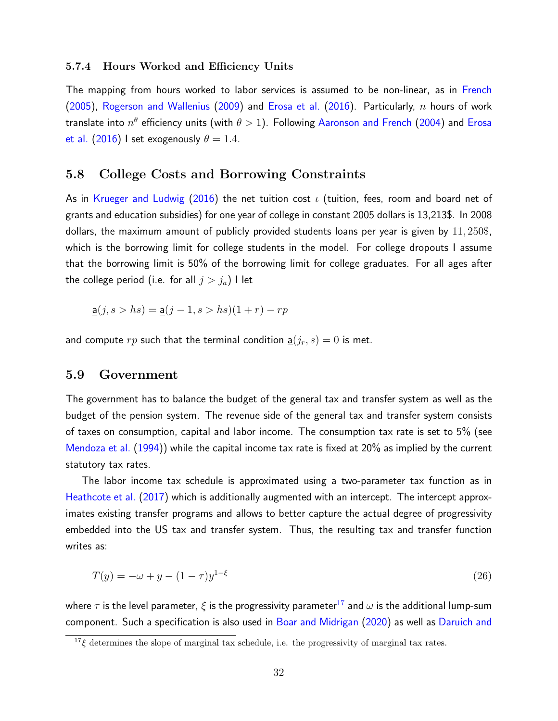#### 5.7.4 Hours Worked and Efficiency Units

The mapping from hours worked to labor services is assumed to be non-linear, as in [French](#page-43-10) [\(2005\)](#page-43-10), [Rogerson and Wallenius](#page-44-5) [\(2009\)](#page-44-5) and [Erosa et al.](#page-43-11) [\(2016\)](#page-43-11). Particularly,  $n$  hours of work translate into  $n^{\theta}$  efficiency units (with  $\theta > 1)$ . Following [Aaronson and French](#page-42-12) [\(2004\)](#page-42-12) and [Erosa](#page-43-11) [et al.](#page-43-11) [\(2016\)](#page-43-11) I set exogenously  $\theta = 1.4$ .

### 5.8 College Costs and Borrowing Constraints

As in [Krueger and Ludwig](#page-44-1) [\(2016\)](#page-44-1) the net tuition cost  $\iota$  (tuition, fees, room and board net of grants and education subsidies) for one year of college in constant 2005 dollars is 13,213\$. In 2008 dollars, the maximum amount of publicly provided students loans per year is given by 11, 250\$, which is the borrowing limit for college students in the model. For college dropouts I assume that the borrowing limit is 50% of the borrowing limit for college graduates. For all ages after the college period (i.e. for all  $j > j_a$ ) I let

$$
\underline{\mathsf{a}}(j, s > hs) = \underline{\mathsf{a}}(j - 1, s > hs)(1 + r) - rp
$$

and compute  $rp$  such that the terminal condition  $\underline{a}(j_r, s) = 0$  is met.

#### 5.9 Government

The government has to balance the budget of the general tax and transfer system as well as the budget of the pension system. The revenue side of the general tax and transfer system consists of taxes on consumption, capital and labor income. The consumption tax rate is set to 5% (see [Mendoza et al.](#page-44-6) [\(1994\)](#page-44-6)) while the capital income tax rate is fixed at 20% as implied by the current statutory tax rates.

The labor income tax schedule is approximated using a two-parameter tax function as in [Heathcote et al.](#page-43-4) [\(2017\)](#page-43-4) which is additionally augmented with an intercept. The intercept approximates existing transfer programs and allows to better capture the actual degree of progressivity embedded into the US tax and transfer system. Thus, the resulting tax and transfer function writes as:

<span id="page-31-1"></span>
$$
T(y) = -\omega + y - (1 - \tau)y^{1 - \xi}
$$
\n(26)

where  $\tau$  is the level parameter,  $\xi$  is the progressivity parameter<sup>[17](#page-31-0)</sup> and  $\omega$  is the additional lump-sum component. Such a specification is also used in [Boar and Midrigan](#page-42-8) [\(2020\)](#page-42-8) as well as [Daruich and](#page-43-7)

<span id="page-31-0"></span> $17\zeta$  [determines the slope of marginal tax schedule, i.e. the progressivity of marginal tax rates.](#page-43-7)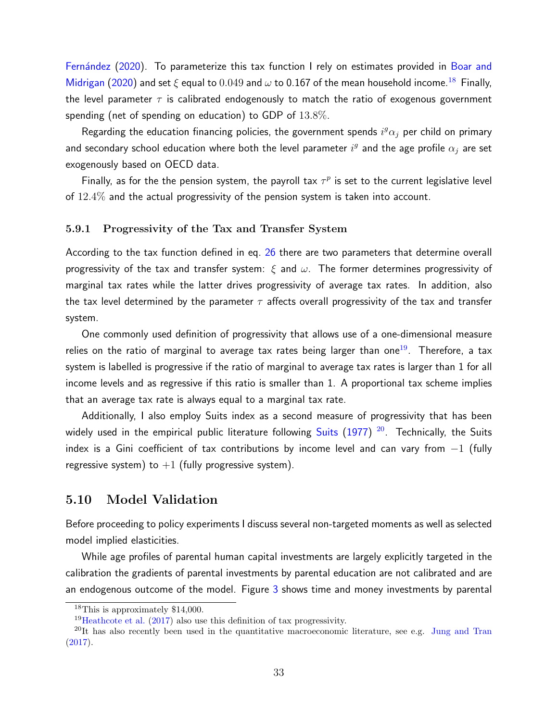Fernández [\(2020\)](#page-43-7). To parameterize this tax function I rely on estimates provided in [Boar and](#page-42-8) [Midrigan](#page-42-8) [\(2020\)](#page-42-8) and set  $\xi$  equal to 0.049 and  $\omega$  to 0.167 of the mean household income.<sup>[18](#page-32-0)</sup> Finally, the level parameter  $\tau$  is calibrated endogenously to match the ratio of exogenous government spending (net of spending on education) to GDP of 13.8%.

Regarding the education financing policies, the government spends  $i^g\alpha_j$  per child on primary and secondary school education where both the level parameter  $i^g$  and the age profile  $\alpha_j$  are set exogenously based on OECD data.

Finally, as for the the pension system, the payroll tax  $\tau^p$  is set to the current legislative level of 12.4% and the actual progressivity of the pension system is taken into account.

#### 5.9.1 Progressivity of the Tax and Transfer System

According to the tax function defined in eq. [26](#page-31-1) there are two parameters that determine overall progressivity of the tax and transfer system:  $\xi$  and  $\omega$ . The former determines progressivity of marginal tax rates while the latter drives progressivity of average tax rates. In addition, also the tax level determined by the parameter  $\tau$  affects overall progressivity of the tax and transfer system.

One commonly used definition of progressivity that allows use of a one-dimensional measure relies on the ratio of marginal to average tax rates being larger than one<sup>[19](#page-32-1)</sup>. Therefore, a tax system is labelled is progressive if the ratio of marginal to average tax rates is larger than 1 for all income levels and as regressive if this ratio is smaller than 1. A proportional tax scheme implies that an average tax rate is always equal to a marginal tax rate.

Additionally, I also employ Suits index as a second measure of progressivity that has been widely used in the empirical public literature following [Suits](#page-44-7) [\(1977\)](#page-44-7) <sup>[20](#page-32-2)</sup>. Technically, the Suits index is a Gini coefficient of tax contributions by income level and can vary from  $-1$  (fully regressive system) to  $+1$  (fully progressive system).

## 5.10 Model Validation

Before proceeding to policy experiments I discuss several non-targeted moments as well as selected model implied elasticities.

While age profiles of parental human capital investments are largely explicitly targeted in the calibration the gradients of parental investments by parental education are not calibrated and are an endogenous outcome of the model. Figure [3](#page-33-0) shows time and money investments by parental

<span id="page-32-0"></span><sup>18</sup>This is approximately \$14,000.

<span id="page-32-2"></span><span id="page-32-1"></span><sup>&</sup>lt;sup>19</sup>[Heathcote et al.](#page-43-4) [\(2017\)](#page-43-4) also use this definition of tax progressivity.

<sup>&</sup>lt;sup>20</sup>It has also recently been used in the quantitative macroeconomic literature, see e.g. [Jung and Tran](#page-43-12) [\(2017\)](#page-43-12).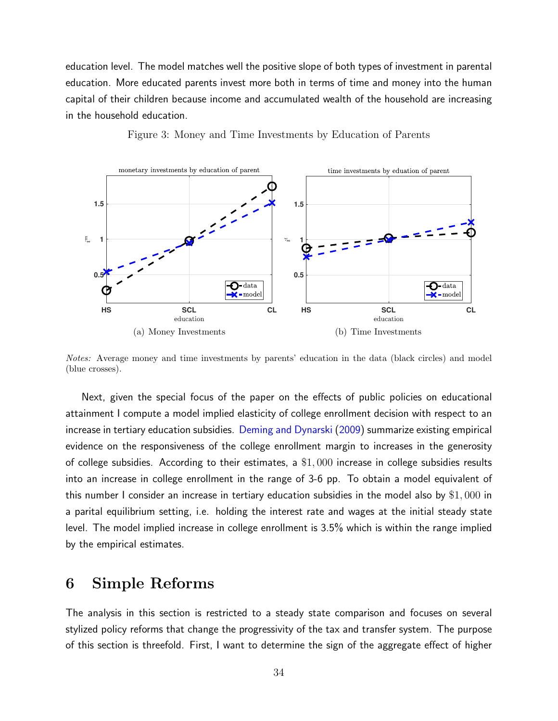education level. The model matches well the positive slope of both types of investment in parental education. More educated parents invest more both in terms of time and money into the human capital of their children because income and accumulated wealth of the household are increasing in the household education.

<span id="page-33-0"></span>

Figure 3: Money and Time Investments by Education of Parents

Notes: Average money and time investments by parents' education in the data (black circles) and model (blue crosses).

Next, given the special focus of the paper on the effects of public policies on educational attainment I compute a model implied elasticity of college enrollment decision with respect to an increase in tertiary education subsidies. [Deming and Dynarski](#page-43-13) [\(2009\)](#page-43-13) summarize existing empirical evidence on the responsiveness of the college enrollment margin to increases in the generosity of college subsidies. According to their estimates, a \$1, 000 increase in college subsidies results into an increase in college enrollment in the range of 3-6 pp. To obtain a model equivalent of this number I consider an increase in tertiary education subsidies in the model also by \$1, 000 in a parital equilibrium setting, i.e. holding the interest rate and wages at the initial steady state level. The model implied increase in college enrollment is 3.5% which is within the range implied by the empirical estimates.

## 6 Simple Reforms

The analysis in this section is restricted to a steady state comparison and focuses on several stylized policy reforms that change the progressivity of the tax and transfer system. The purpose of this section is threefold. First, I want to determine the sign of the aggregate effect of higher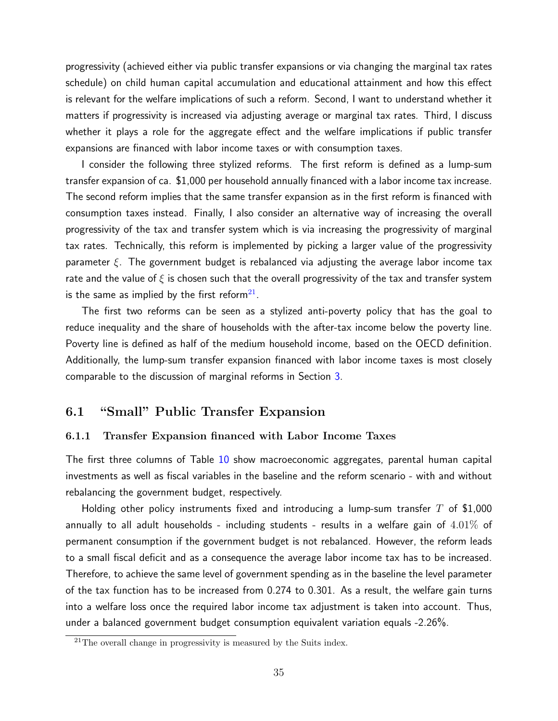progressivity (achieved either via public transfer expansions or via changing the marginal tax rates schedule) on child human capital accumulation and educational attainment and how this effect is relevant for the welfare implications of such a reform. Second, I want to understand whether it matters if progressivity is increased via adjusting average or marginal tax rates. Third, I discuss whether it plays a role for the aggregate effect and the welfare implications if public transfer expansions are financed with labor income taxes or with consumption taxes.

I consider the following three stylized reforms. The first reform is defined as a lump-sum transfer expansion of ca. \$1,000 per household annually financed with a labor income tax increase. The second reform implies that the same transfer expansion as in the first reform is financed with consumption taxes instead. Finally, I also consider an alternative way of increasing the overall progressivity of the tax and transfer system which is via increasing the progressivity of marginal tax rates. Technically, this reform is implemented by picking a larger value of the progressivity parameter  $\xi$ . The government budget is rebalanced via adjusting the average labor income tax rate and the value of  $\xi$  is chosen such that the overall progressivity of the tax and transfer system is the same as implied by the first reform $^{21}$  $^{21}$  $^{21}$ .

The first two reforms can be seen as a stylized anti-poverty policy that has the goal to reduce inequality and the share of households with the after-tax income below the poverty line. Poverty line is defined as half of the medium household income, based on the OECD definition. Additionally, the lump-sum transfer expansion financed with labor income taxes is most closely comparable to the discussion of marginal reforms in Section [3.](#page-7-1)

## 6.1 "Small" Public Transfer Expansion

#### 6.1.1 Transfer Expansion financed with Labor Income Taxes

The first three columns of Table [10](#page-35-0) show macroeconomic aggregates, parental human capital investments as well as fiscal variables in the baseline and the reform scenario - with and without rebalancing the government budget, respectively.

Holding other policy instruments fixed and introducing a lump-sum transfer  $T$  of \$1,000 annually to all adult households - including students - results in a welfare gain of  $4.01\%$  of permanent consumption if the government budget is not rebalanced. However, the reform leads to a small fiscal deficit and as a consequence the average labor income tax has to be increased. Therefore, to achieve the same level of government spending as in the baseline the level parameter of the tax function has to be increased from 0.274 to 0.301. As a result, the welfare gain turns into a welfare loss once the required labor income tax adjustment is taken into account. Thus, under a balanced government budget consumption equivalent variation equals -2.26%.

<span id="page-34-0"></span> $21$ The overall change in progressivity is measured by the Suits index.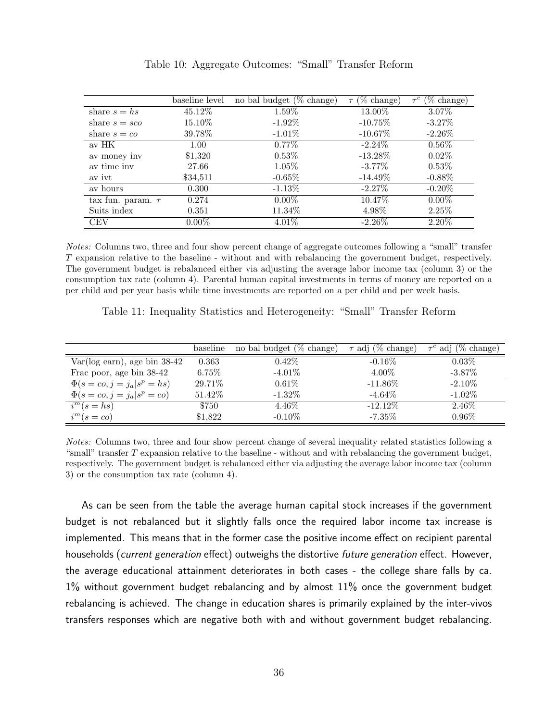<span id="page-35-0"></span>

|                        | baseline level | no bal budget $(\%$ change) | $\tau$ (% change) | $\tau^c$ (% change) |
|------------------------|----------------|-----------------------------|-------------------|---------------------|
| share $s = h s$        | 45.12%         | $1.59\%$                    | 13.00%            | $3.07\%$            |
| share $s = sca$        | 15.10%         | $-1.92\%$                   | $-10.75\%$        | $-3.27%$            |
| share $s = co$         | 39.78%         | $-1.01\%$                   | $-10.67\%$        | $-2.26\%$           |
| av HK                  | 1.00           | $0.77\%$                    | $-2.24\%$         | $0.56\%$            |
| av money inv           | \$1,320        | $0.53\%$                    | $-13.28\%$        | 0.02%               |
| av time inv            | 27.66          | $1.05\%$                    | $-3.77\%$         | 0.53%               |
| av ivt                 | \$34,511       | $-0.65\%$                   | $-14.49\%$        | $-0.88\%$           |
| av hours               | 0.300          | $-1.13\%$                   | $-2.27\%$         | $-0.20\%$           |
| tax fun. param. $\tau$ | 0.274          | $0.00\%$                    | 10.47%            | $0.00\%$            |
| Suits index            | 0.351          | 11.34\%                     | 4.98%             | 2.25%               |
| <b>CEV</b>             | $0.00\%$       | $4.01\%$                    | $-2.26\%$         | 2.20%               |

Table 10: Aggregate Outcomes: "Small" Transfer Reform

Notes: Columns two, three and four show percent change of aggregate outcomes following a "small" transfer T expansion relative to the baseline - without and with rebalancing the government budget, respectively. The government budget is rebalanced either via adjusting the average labor income tax (column 3) or the consumption tax rate (column 4). Parental human capital investments in terms of money are reported on a per child and per year basis while time investments are reported on a per child and per week basis.

<span id="page-35-1"></span>

| Table 11: Inequality Statistics and Heterogeneity: "Small" Transfer Reform |  |  |  |  |  |
|----------------------------------------------------------------------------|--|--|--|--|--|
|----------------------------------------------------------------------------|--|--|--|--|--|

|                                    | baseline | no bal budget (% change) | $\tau$ adj (% change) | $\tau^c$ adj (% change) |
|------------------------------------|----------|--------------------------|-----------------------|-------------------------|
| $Var(log earn)$ , age bin 38-42    | 0.363    | $0.42\%$                 | $-0.16\%$             | $0.03\%$                |
| Fracepoor, age bin 38-42           | 6.75%    | $-4.01\%$                | 4.00%                 | $-3.87\%$               |
| $\Phi(s = co, j = j_a   s^p = hs)$ | 29.71\%  | $0.61\%$                 | $-11.86\%$            | $-2.10\%$               |
| $\Phi(s = co, j = j_a   s^p = co)$ | 51.42%   | $-1.32\%$                | $-4.64\%$             | $-1.02\%$               |
| $i^{m}(s=hs)$                      | \$750    | $4.46\%$                 | $-12.12\%$            | 2.46\%                  |
| $i^{m}(s=co)$                      | \$1,822  | $-0.10\%$                | $-7.35\%$             | $0.96\%$                |

Notes: Columns two, three and four show percent change of several inequality related statistics following a "small" transfer  $T$  expansion relative to the baseline - without and with rebalancing the government budget, respectively. The government budget is rebalanced either via adjusting the average labor income tax (column 3) or the consumption tax rate (column 4).

As can be seen from the table the average human capital stock increases if the government budget is not rebalanced but it slightly falls once the required labor income tax increase is implemented. This means that in the former case the positive income effect on recipient parental households (*current generation* effect) outweighs the distortive *future generation* effect. However, the average educational attainment deteriorates in both cases - the college share falls by ca. 1% without government budget rebalancing and by almost 11% once the government budget rebalancing is achieved. The change in education shares is primarily explained by the inter-vivos transfers responses which are negative both with and without government budget rebalancing.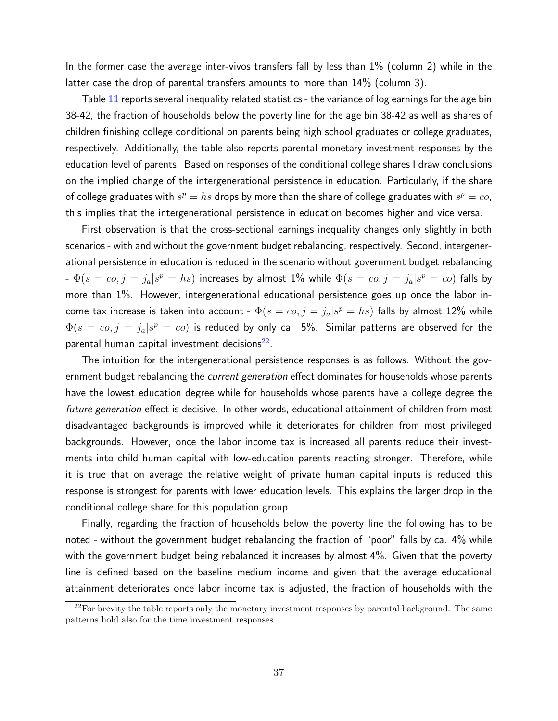In the former case the average inter-vivos transfers fall by less than 1% (column 2) while in the latter case the drop of parental transfers amounts to more than 14% (column 3).

Table [11](#page-35-1) reports several inequality related statistics - the variance of log earnings for the age bin 38-42, the fraction of households below the poverty line for the age bin 38-42 as well as shares of children finishing college conditional on parents being high school graduates or college graduates, respectively. Additionally, the table also reports parental monetary investment responses by the education level of parents. Based on responses of the conditional college shares I draw conclusions on the implied change of the intergenerational persistence in education. Particularly, if the share of college graduates with  $s^p = h s$  drops by more than the share of college graduates with  $s^p = co,$ this implies that the intergenerational persistence in education becomes higher and vice versa.

First observation is that the cross-sectional earnings inequality changes only slightly in both scenarios - with and without the government budget rebalancing, respectively. Second, intergenerational persistence in education is reduced in the scenario without government budget rebalancing -  $\Phi(s=co,j=j_a|s^p=hs)$  increases by almost 1% while  $\Phi(s=co,j=j_a|s^p=co)$  falls by more than 1%. However, intergenerational educational persistence goes up once the labor income tax increase is taken into account -  $\Phi(s=co, j=j_a|s^p=h s)$  falls by almost  $12\%$  while  $\Phi(s\,=\,co,j\,=\,j_a|s^p\,=\,co)$  is reduced by only ca. 5%. Similar patterns are observed for the parental human capital investment decisions $^{22}$  $^{22}$  $^{22}$ .

The intuition for the intergenerational persistence responses is as follows. Without the government budget rebalancing the *current generation* effect dominates for households whose parents have the lowest education degree while for households whose parents have a college degree the future generation effect is decisive. In other words, educational attainment of children from most disadvantaged backgrounds is improved while it deteriorates for children from most privileged backgrounds. However, once the labor income tax is increased all parents reduce their investments into child human capital with low-education parents reacting stronger. Therefore, while it is true that on average the relative weight of private human capital inputs is reduced this response is strongest for parents with lower education levels. This explains the larger drop in the conditional college share for this population group.

Finally, regarding the fraction of households below the poverty line the following has to be noted - without the government budget rebalancing the fraction of "poor" falls by ca. 4% while with the government budget being rebalanced it increases by almost 4%. Given that the poverty line is defined based on the baseline medium income and given that the average educational attainment deteriorates once labor income tax is adjusted, the fraction of households with the

<span id="page-36-0"></span> $22$ For brevity the table reports only the monetary investment responses by parental background. The same patterns hold also for the time investment responses.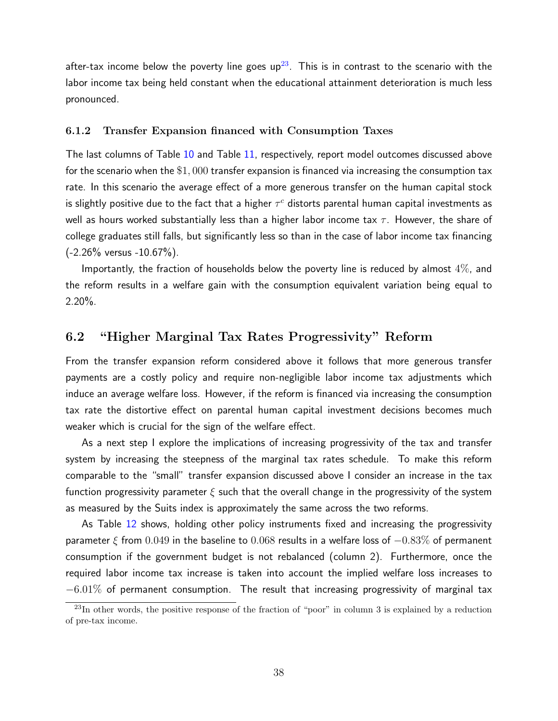after-tax income below the poverty line goes  $up^{23}$  $up^{23}$  $up^{23}$ . This is in contrast to the scenario with the labor income tax being held constant when the educational attainment deterioration is much less pronounced.

#### 6.1.2 Transfer Expansion financed with Consumption Taxes

The last columns of Table [10](#page-35-0) and Table [11,](#page-35-1) respectively, report model outcomes discussed above for the scenario when the \$1, 000 transfer expansion is financed via increasing the consumption tax rate. In this scenario the average effect of a more generous transfer on the human capital stock is slightly positive due to the fact that a higher  $\tau^c$  distorts parental human capital investments as well as hours worked substantially less than a higher labor income tax  $\tau$ . However, the share of college graduates still falls, but significantly less so than in the case of labor income tax financing  $(-2.26\%$  versus  $-10.67\%)$ .

Importantly, the fraction of households below the poverty line is reduced by almost  $4\%$ , and the reform results in a welfare gain with the consumption equivalent variation being equal to 2.20%.

## 6.2 "Higher Marginal Tax Rates Progressivity" Reform

From the transfer expansion reform considered above it follows that more generous transfer payments are a costly policy and require non-negligible labor income tax adjustments which induce an average welfare loss. However, if the reform is financed via increasing the consumption tax rate the distortive effect on parental human capital investment decisions becomes much weaker which is crucial for the sign of the welfare effect.

As a next step I explore the implications of increasing progressivity of the tax and transfer system by increasing the steepness of the marginal tax rates schedule. To make this reform comparable to the "small" transfer expansion discussed above I consider an increase in the tax function progressivity parameter  $\xi$  such that the overall change in the progressivity of the system as measured by the Suits index is approximately the same across the two reforms.

As Table [12](#page-38-0) shows, holding other policy instruments fixed and increasing the progressivity parameter  $\xi$  from 0.049 in the baseline to 0.068 results in a welfare loss of  $-0.83\%$  of permanent consumption if the government budget is not rebalanced (column 2). Furthermore, once the required labor income tax increase is taken into account the implied welfare loss increases to  $-6.01\%$  of permanent consumption. The result that increasing progressivity of marginal tax

<span id="page-37-0"></span> $^{23}$ In other words, the positive response of the fraction of "poor" in column 3 is explained by a reduction of pre-tax income.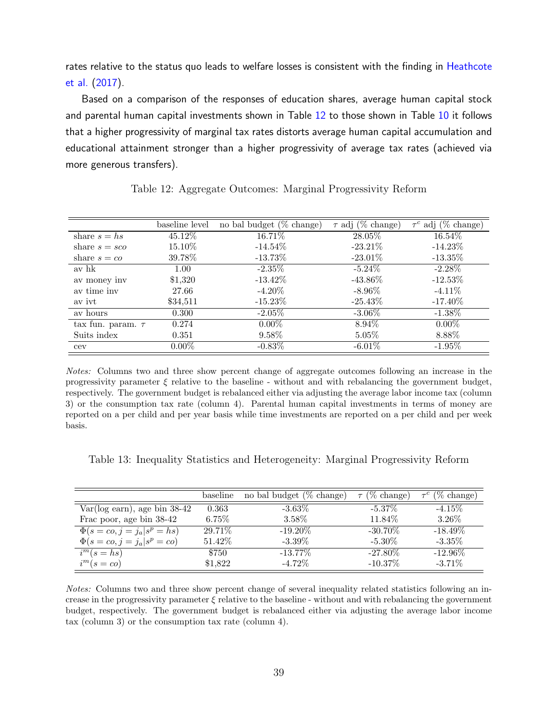rates relative to the status quo leads to welfare losses is consistent with the finding in [Heathcote](#page-43-4) [et al.](#page-43-4) [\(2017\)](#page-43-4).

Based on a comparison of the responses of education shares, average human capital stock and parental human capital investments shown in Table [12](#page-38-0) to those shown in Table [10](#page-35-0) it follows that a higher progressivity of marginal tax rates distorts average human capital accumulation and educational attainment stronger than a higher progressivity of average tax rates (achieved via more generous transfers).

<span id="page-38-0"></span>

|                        | baseline level | no bal budget $(\%$ change) | $\tau$ adj (% change) | $\tau^c$ adj (% change) |
|------------------------|----------------|-----------------------------|-----------------------|-------------------------|
| share $s = hs$         | 45.12%         | 16.71%                      | 28.05%                | $16.54\%$               |
| share $s = sca$        | 15.10%         | $-14.54\%$                  | $-23.21\%$            | $-14.23\%$              |
| share $s = co$         | 39.78%         | $-13.73\%$                  | $-23.01\%$            | $-13.35\%$              |
| av hk                  | 1.00           | $-2.35\%$                   | $-5.24\%$             | $-2.28\%$               |
| av money inv           | \$1,320        | $-13.42\%$                  | $-43.86\%$            | $-12.53\%$              |
| av time inv            | 27.66          | $-4.20\%$                   | $-8.96\%$             | $-4.11\%$               |
| av ivt                 | \$34,511       | $-15.23\%$                  | $-25.43\%$            | $-17.40\%$              |
| av hours               | 0.300          | $-2.05\%$                   | $-3.06\%$             | $-1.38\%$               |
| tax fun. param. $\tau$ | 0.274          | $0.00\%$                    | 8.94\%                | $0.00\%$                |
| Suits index            | 0.351          | 9.58%                       | $5.05\%$              | 8.88%                   |
| cev                    | $0.00\%$       | $-0.83\%$                   | $-6.01\%$             | $-1.95\%$               |

Table 12: Aggregate Outcomes: Marginal Progressivity Reform

Notes: Columns two and three show percent change of aggregate outcomes following an increase in the progressivity parameter  $\xi$  relative to the baseline - without and with rebalancing the government budget, respectively. The government budget is rebalanced either via adjusting the average labor income tax (column 3) or the consumption tax rate (column 4). Parental human capital investments in terms of money are reported on a per child and per year basis while time investments are reported on a per child and per week basis.

<span id="page-38-1"></span>Table 13: Inequality Statistics and Heterogeneity: Marginal Progressivity Reform

|                                    | baseline | no bal budget $(\%$ change) | $\tau$ (% change) | $\tau^c$ (% change) |
|------------------------------------|----------|-----------------------------|-------------------|---------------------|
| $Var(log earn)$ , age bin 38-42    | 0.363    | $-3.63\%$                   | $-5.37\%$         | $-4.15\%$           |
| Fracepoor, age bin 38-42           | $6.75\%$ | 3.58%                       | 11.84\%           | $3.26\%$            |
| $\Phi(s = co, j = j_a   s^p = hs)$ | 29.71\%  | $-19.20\%$                  | $-30.70\%$        | $-18.49\%$          |
| $\Phi(s = co, j = j_a   s^p = co)$ | 51.42%   | $-3.39\%$                   | $-5.30\%$         | $-3.35\%$           |
| $i^{m}(s=hs)$                      | \$750    | $-13.77\%$                  | $-27.80\%$        | $-12.96\%$          |
| $i^{m}(s=co)$                      | \$1,822  | $-4.72\%$                   | $-10.37\%$        | $-3.71\%$           |

Notes: Columns two and three show percent change of several inequality related statistics following an increase in the progressivity parameter  $\xi$  relative to the baseline - without and with rebalancing the government budget, respectively. The government budget is rebalanced either via adjusting the average labor income tax (column 3) or the consumption tax rate (column 4).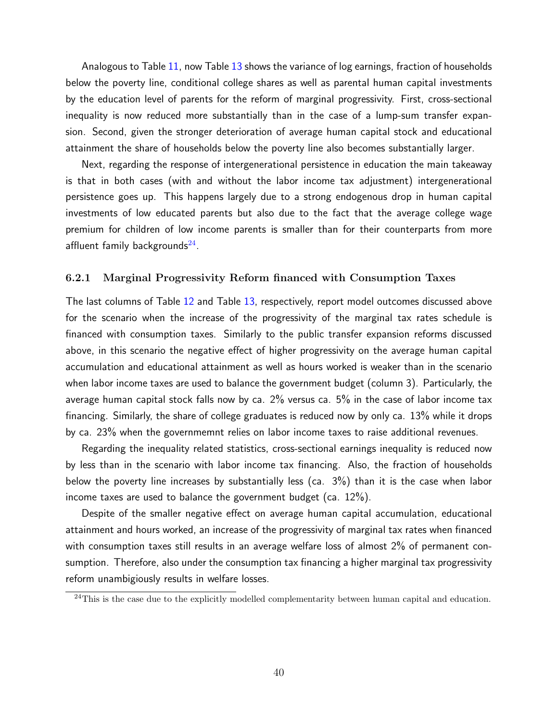Analogous to Table [11,](#page-35-1) now Table [13](#page-38-1) shows the variance of log earnings, fraction of households below the poverty line, conditional college shares as well as parental human capital investments by the education level of parents for the reform of marginal progressivity. First, cross-sectional inequality is now reduced more substantially than in the case of a lump-sum transfer expansion. Second, given the stronger deterioration of average human capital stock and educational attainment the share of households below the poverty line also becomes substantially larger.

Next, regarding the response of intergenerational persistence in education the main takeaway is that in both cases (with and without the labor income tax adjustment) intergenerational persistence goes up. This happens largely due to a strong endogenous drop in human capital investments of low educated parents but also due to the fact that the average college wage premium for children of low income parents is smaller than for their counterparts from more affluent family backgrounds $^{24}$  $^{24}$  $^{24}$ .

#### 6.2.1 Marginal Progressivity Reform financed with Consumption Taxes

The last columns of Table [12](#page-38-0) and Table [13,](#page-38-1) respectively, report model outcomes discussed above for the scenario when the increase of the progressivity of the marginal tax rates schedule is financed with consumption taxes. Similarly to the public transfer expansion reforms discussed above, in this scenario the negative effect of higher progressivity on the average human capital accumulation and educational attainment as well as hours worked is weaker than in the scenario when labor income taxes are used to balance the government budget (column 3). Particularly, the average human capital stock falls now by ca. 2% versus ca. 5% in the case of labor income tax financing. Similarly, the share of college graduates is reduced now by only ca. 13% while it drops by ca. 23% when the governmemnt relies on labor income taxes to raise additional revenues.

Regarding the inequality related statistics, cross-sectional earnings inequality is reduced now by less than in the scenario with labor income tax financing. Also, the fraction of households below the poverty line increases by substantially less (ca. 3%) than it is the case when labor income taxes are used to balance the government budget (ca. 12%).

Despite of the smaller negative effect on average human capital accumulation, educational attainment and hours worked, an increase of the progressivity of marginal tax rates when financed with consumption taxes still results in an average welfare loss of almost 2% of permanent consumption. Therefore, also under the consumption tax financing a higher marginal tax progressivity reform unambigiously results in welfare losses.

<span id="page-39-0"></span><sup>&</sup>lt;sup>24</sup>This is the case due to the explicitly modelled complementarity between human capital and education.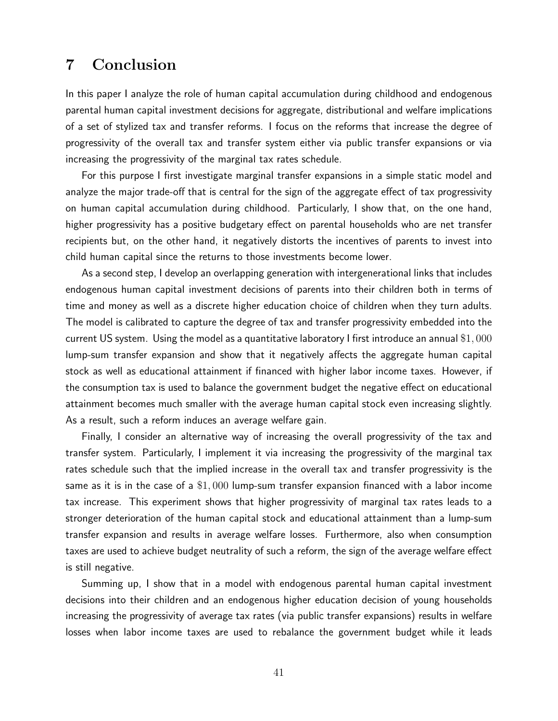## 7 Conclusion

In this paper I analyze the role of human capital accumulation during childhood and endogenous parental human capital investment decisions for aggregate, distributional and welfare implications of a set of stylized tax and transfer reforms. I focus on the reforms that increase the degree of progressivity of the overall tax and transfer system either via public transfer expansions or via increasing the progressivity of the marginal tax rates schedule.

For this purpose I first investigate marginal transfer expansions in a simple static model and analyze the major trade-off that is central for the sign of the aggregate effect of tax progressivity on human capital accumulation during childhood. Particularly, I show that, on the one hand, higher progressivity has a positive budgetary effect on parental households who are net transfer recipients but, on the other hand, it negatively distorts the incentives of parents to invest into child human capital since the returns to those investments become lower.

As a second step, I develop an overlapping generation with intergenerational links that includes endogenous human capital investment decisions of parents into their children both in terms of time and money as well as a discrete higher education choice of children when they turn adults. The model is calibrated to capture the degree of tax and transfer progressivity embedded into the current US system. Using the model as a quantitative laboratory I first introduce an annual \$1, 000 lump-sum transfer expansion and show that it negatively affects the aggregate human capital stock as well as educational attainment if financed with higher labor income taxes. However, if the consumption tax is used to balance the government budget the negative effect on educational attainment becomes much smaller with the average human capital stock even increasing slightly. As a result, such a reform induces an average welfare gain.

Finally, I consider an alternative way of increasing the overall progressivity of the tax and transfer system. Particularly, I implement it via increasing the progressivity of the marginal tax rates schedule such that the implied increase in the overall tax and transfer progressivity is the same as it is in the case of a  $$1,000$  lump-sum transfer expansion financed with a labor income tax increase. This experiment shows that higher progressivity of marginal tax rates leads to a stronger deterioration of the human capital stock and educational attainment than a lump-sum transfer expansion and results in average welfare losses. Furthermore, also when consumption taxes are used to achieve budget neutrality of such a reform, the sign of the average welfare effect is still negative.

Summing up, I show that in a model with endogenous parental human capital investment decisions into their children and an endogenous higher education decision of young households increasing the progressivity of average tax rates (via public transfer expansions) results in welfare losses when labor income taxes are used to rebalance the government budget while it leads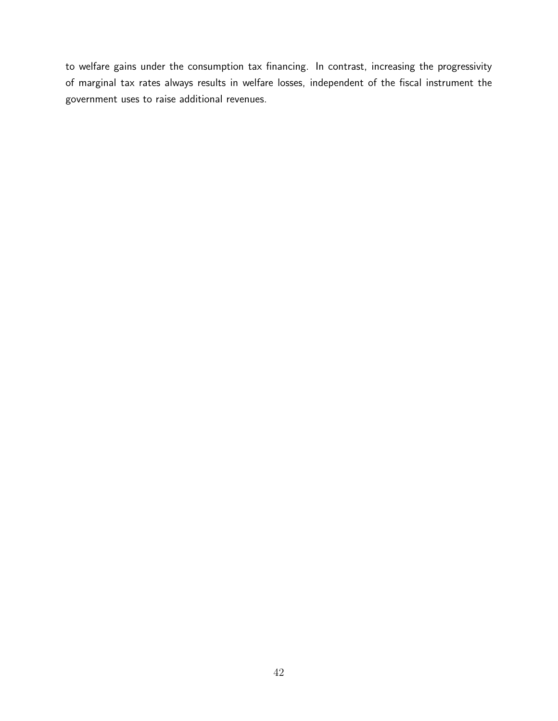to welfare gains under the consumption tax financing. In contrast, increasing the progressivity of marginal tax rates always results in welfare losses, independent of the fiscal instrument the government uses to raise additional revenues.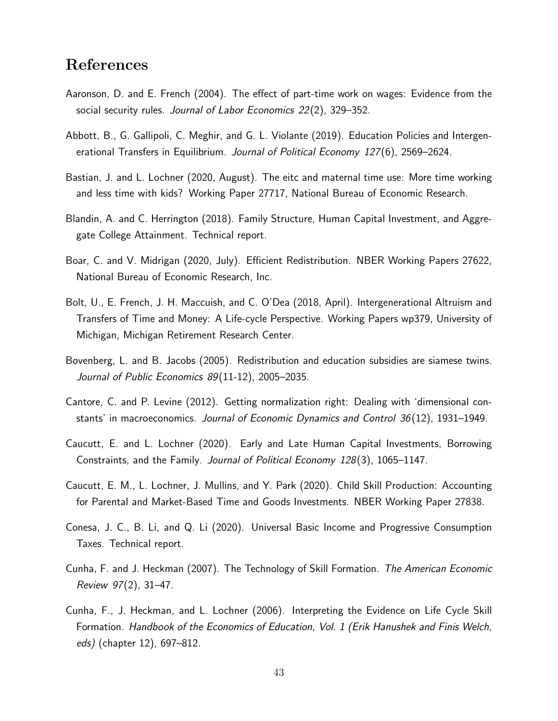## References

- <span id="page-42-12"></span>Aaronson, D. and E. French (2004). The effect of part-time work on wages: Evidence from the social security rules. Journal of Labor Economics 22(2), 329-352.
- <span id="page-42-11"></span>Abbott, B., G. Gallipoli, C. Meghir, and G. L. Violante (2019). Education Policies and Intergenerational Transfers in Equilibrium. Journal of Political Economy 127(6), 2569–2624.
- <span id="page-42-1"></span>Bastian, J. and L. Lochner (2020, August). The eitc and maternal time use: More time working and less time with kids? Working Paper 27717, National Bureau of Economic Research.
- <span id="page-42-7"></span>Blandin, A. and C. Herrington (2018). Family Structure, Human Capital Investment, and Aggregate College Attainment. Technical report.
- <span id="page-42-8"></span>Boar, C. and V. Midrigan (2020, July). Efficient Redistribution. NBER Working Papers 27622, National Bureau of Economic Research, Inc.
- <span id="page-42-9"></span>Bolt, U., E. French, J. H. Maccuish, and C. O'Dea (2018, April). Intergenerational Altruism and Transfers of Time and Money: A Life-cycle Perspective. Working Papers wp379, University of Michigan, Michigan Retirement Research Center.
- <span id="page-42-2"></span>Bovenberg, L. and B. Jacobs (2005). Redistribution and education subsidies are siamese twins. Journal of Public Economics 89(11-12), 2005–2035.
- <span id="page-42-10"></span>Cantore, C. and P. Levine (2012). Getting normalization right: Dealing with 'dimensional constants' in macroeconomics. Journal of Economic Dynamics and Control 36 (12), 1931–1949.
- <span id="page-42-4"></span>Caucutt, E. and L. Lochner (2020). Early and Late Human Capital Investments, Borrowing Constraints, and the Family. Journal of Political Economy 128(3), 1065-1147.
- <span id="page-42-5"></span>Caucutt, E. M., L. Lochner, J. Mullins, and Y. Park (2020). Child Skill Production: Accounting for Parental and Market-Based Time and Goods Investments. NBER Working Paper 27838.
- <span id="page-42-6"></span>Conesa, J. C., B. Li, and Q. Li (2020). Universal Basic Income and Progressive Consumption Taxes. Technical report.
- <span id="page-42-0"></span>Cunha, F. and J. Heckman (2007). The Technology of Skill Formation. The American Economic Review 97(2), 31–47.
- <span id="page-42-3"></span>Cunha, F., J. Heckman, and L. Lochner (2006). Interpreting the Evidence on Life Cycle Skill Formation. Handbook of the Economics of Education, Vol. 1 (Erik Hanushek and Finis Welch, eds) (chapter 12), 697–812.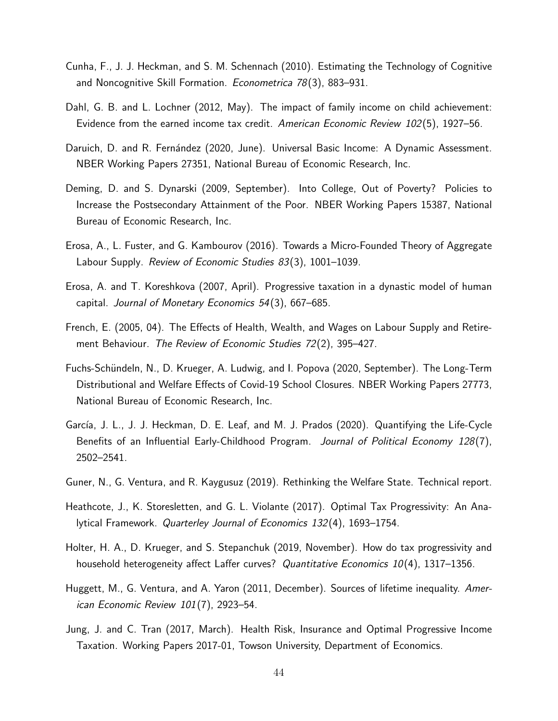- <span id="page-43-1"></span>Cunha, F., J. J. Heckman, and S. M. Schennach (2010). Estimating the Technology of Cognitive and Noncognitive Skill Formation. Econometrica 78(3), 883–931.
- <span id="page-43-2"></span>Dahl, G. B. and L. Lochner (2012, May). The impact of family income on child achievement: Evidence from the earned income tax credit. American Economic Review 102(5), 1927–56.
- <span id="page-43-7"></span>Daruich, D. and R. Fernández (2020, June). Universal Basic Income: A Dynamic Assessment. NBER Working Papers 27351, National Bureau of Economic Research, Inc.
- <span id="page-43-13"></span>Deming, D. and S. Dynarski (2009, September). Into College, Out of Poverty? Policies to Increase the Postsecondary Attainment of the Poor. NBER Working Papers 15387, National Bureau of Economic Research, Inc.
- <span id="page-43-11"></span>Erosa, A., L. Fuster, and G. Kambourov (2016). Towards a Micro-Founded Theory of Aggregate Labour Supply. Review of Economic Studies 83(3), 1001–1039.
- <span id="page-43-3"></span>Erosa, A. and T. Koreshkova (2007, April). Progressive taxation in a dynastic model of human capital. Journal of Monetary Economics 54 (3), 667–685.
- <span id="page-43-10"></span>French, E. (2005, 04). The Effects of Health, Wealth, and Wages on Labour Supply and Retirement Behaviour. The Review of Economic Studies 72(2), 395-427.
- <span id="page-43-5"></span>Fuchs-Schündeln, N., D. Krueger, A. Ludwig, and I. Popova (2020, September). The Long-Term Distributional and Welfare Effects of Covid-19 School Closures. NBER Working Papers 27773, National Bureau of Economic Research, Inc.
- <span id="page-43-8"></span>García, J. L., J. J. Heckman, D. E. Leaf, and M. J. Prados (2020). Quantifying the Life-Cycle Benefits of an Influential Early-Childhood Program. Journal of Political Economy 128(7), 2502–2541.
- <span id="page-43-6"></span>Guner, N., G. Ventura, and R. Kaygusuz (2019). Rethinking the Welfare State. Technical report.
- <span id="page-43-4"></span>Heathcote, J., K. Storesletten, and G. L. Violante (2017). Optimal Tax Progressivity: An Analytical Framework. Quarterley Journal of Economics 132(4), 1693–1754.
- <span id="page-43-9"></span>Holter, H. A., D. Krueger, and S. Stepanchuk (2019, November). How do tax progressivity and household heterogeneity affect Laffer curves? Quantitative Economics 10(4), 1317–1356.
- <span id="page-43-0"></span>Huggett, M., G. Ventura, and A. Yaron (2011, December). Sources of lifetime inequality. American Economic Review 101(7), 2923–54.
- <span id="page-43-12"></span>Jung, J. and C. Tran (2017, March). Health Risk, Insurance and Optimal Progressive Income Taxation. Working Papers 2017-01, Towson University, Department of Economics.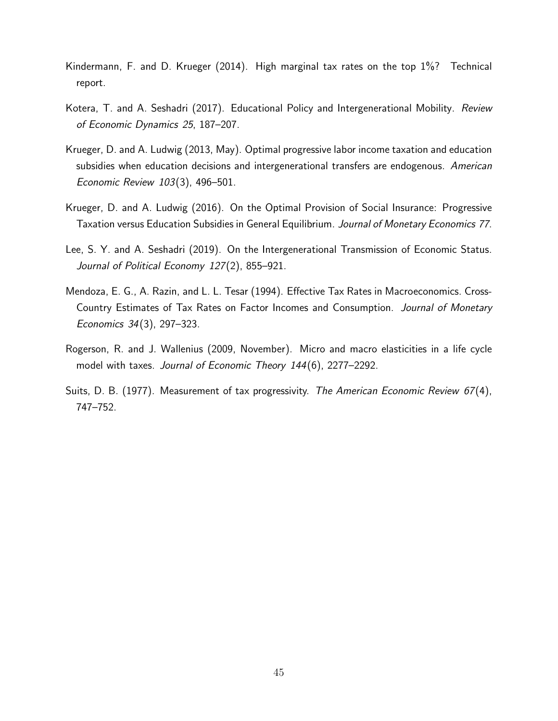- <span id="page-44-4"></span>Kindermann, F. and D. Krueger (2014). High marginal tax rates on the top 1%? Technical report.
- <span id="page-44-3"></span>Kotera, T. and A. Seshadri (2017). Educational Policy and Intergenerational Mobility. Review of Economic Dynamics 25, 187–207.
- <span id="page-44-0"></span>Krueger, D. and A. Ludwig (2013, May). Optimal progressive labor income taxation and education subsidies when education decisions and intergenerational transfers are endogenous. American Economic Review 103(3), 496–501.
- <span id="page-44-1"></span>Krueger, D. and A. Ludwig (2016). On the Optimal Provision of Social Insurance: Progressive Taxation versus Education Subsidies in General Equilibrium. Journal of Monetary Economics 77.
- <span id="page-44-2"></span>Lee, S. Y. and A. Seshadri (2019). On the Intergenerational Transmission of Economic Status. Journal of Political Economy 127(2), 855-921.
- <span id="page-44-6"></span>Mendoza, E. G., A. Razin, and L. L. Tesar (1994). Effective Tax Rates in Macroeconomics. Cross-Country Estimates of Tax Rates on Factor Incomes and Consumption. Journal of Monetary Economics 34(3), 297–323.
- <span id="page-44-5"></span>Rogerson, R. and J. Wallenius (2009, November). Micro and macro elasticities in a life cycle model with taxes. Journal of Economic Theory 144(6), 2277-2292.
- <span id="page-44-7"></span>Suits, D. B. (1977). Measurement of tax progressivity. The American Economic Review 67(4), 747–752.